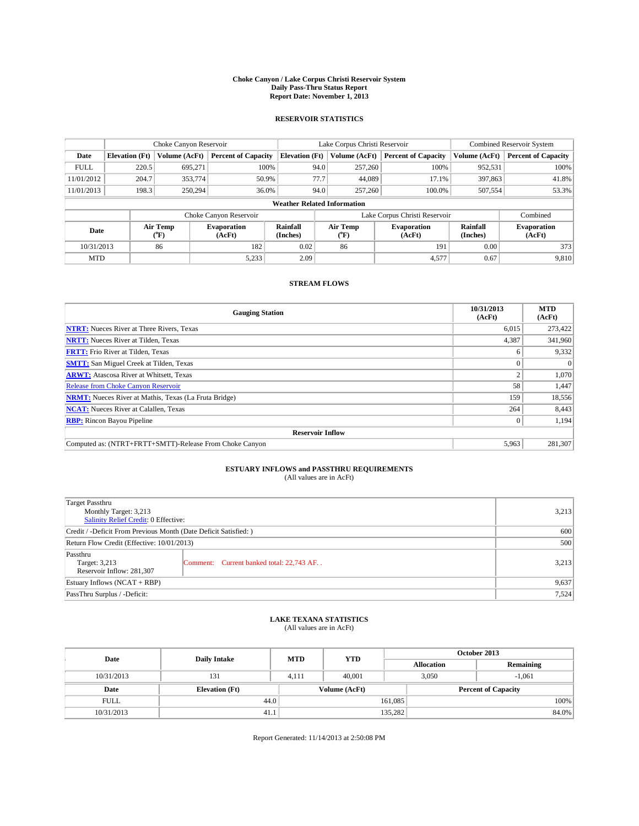#### **Choke Canyon / Lake Corpus Christi Reservoir System Daily Pass-Thru Status Report Report Date: November 1, 2013**

### **RESERVOIR STATISTICS**

|             |                                    | Choke Canyon Reservoir |                              |                       | Lake Corpus Christi Reservoir                         | Combined Reservoir System     |                      |                              |  |
|-------------|------------------------------------|------------------------|------------------------------|-----------------------|-------------------------------------------------------|-------------------------------|----------------------|------------------------------|--|
| Date        | <b>Elevation</b> (Ft)              | Volume (AcFt)          | <b>Percent of Capacity</b>   | <b>Elevation (Ft)</b> | Volume (AcFt)                                         | <b>Percent of Capacity</b>    | Volume (AcFt)        | <b>Percent of Capacity</b>   |  |
| <b>FULL</b> | 220.5                              | 695.271                | 100%                         | 94.0                  | 257,260                                               | 100%                          | 952,531              | 100%                         |  |
| 11/01/2012  | 204.7                              | 353,774                | 50.9%                        | 77.7                  | 44,089                                                | 17.1%                         | 397,863              | 41.8%                        |  |
| 11/01/2013  | 198.3                              | 250,294                | 36.0%                        | 94.0                  | 257,260                                               | 100.0%                        | 507,554              | 53.3%                        |  |
|             | <b>Weather Related Information</b> |                        |                              |                       |                                                       |                               |                      |                              |  |
|             |                                    |                        | Choke Canyon Reservoir       |                       |                                                       | Lake Corpus Christi Reservoir |                      | Combined                     |  |
| Date        |                                    | Air Temp<br>(°F)       | <b>Evaporation</b><br>(AcFt) | Rainfall<br>(Inches)  | Air Temp<br><b>Evaporation</b><br>(AcFt)<br>$(^{o}F)$ |                               | Rainfall<br>(Inches) | <b>Evaporation</b><br>(AcFt) |  |
| 10/31/2013  |                                    | 86                     | 182                          | 0.02                  | 86                                                    | 191                           | 0.00                 | 373                          |  |
| <b>MTD</b>  |                                    |                        | 5,233                        | 2.09                  |                                                       | 4,577                         | 0.67                 | 9,810                        |  |

### **STREAM FLOWS**

| <b>Gauging Station</b>                                       | 10/31/2013<br>(AcFt) | <b>MTD</b><br>(AcFt) |  |  |  |
|--------------------------------------------------------------|----------------------|----------------------|--|--|--|
| <b>NTRT:</b> Nueces River at Three Rivers, Texas             | 6.015                | 273,422              |  |  |  |
| <b>NRTT:</b> Nueces River at Tilden, Texas                   | 4,387                | 341,960              |  |  |  |
| <b>FRTT:</b> Frio River at Tilden, Texas                     | 6                    | 9,332                |  |  |  |
| <b>SMTT:</b> San Miguel Creek at Tilden, Texas               | $\theta$             | $\Omega$             |  |  |  |
| <b>ARWT:</b> Atascosa River at Whitsett, Texas               | $\overline{2}$       | 1,070                |  |  |  |
| <b>Release from Choke Canyon Reservoir</b>                   | 58                   | 1,447                |  |  |  |
| <b>NRMT:</b> Nueces River at Mathis, Texas (La Fruta Bridge) | 159                  | 18,556               |  |  |  |
| <b>NCAT:</b> Nueces River at Calallen, Texas                 | 264                  | 8,443                |  |  |  |
| <b>RBP:</b> Rincon Bayou Pipeline                            | $\mathbf{0}$         | 1,194                |  |  |  |
| <b>Reservoir Inflow</b>                                      |                      |                      |  |  |  |
| Computed as: (NTRT+FRTT+SMTT)-Release From Choke Canyon      | 5,963                | 281,307              |  |  |  |

# **ESTUARY INFLOWS and PASSTHRU REQUIREMENTS**<br>(All values are in AcFt)

| <b>Target Passthru</b><br>Monthly Target: 3,213<br>Salinity Relief Credit: 0 Effective: | 3,213                                    |       |  |  |
|-----------------------------------------------------------------------------------------|------------------------------------------|-------|--|--|
| Credit / -Deficit From Previous Month (Date Deficit Satisfied: )                        |                                          |       |  |  |
| Return Flow Credit (Effective: 10/01/2013)                                              |                                          |       |  |  |
| Passthru<br>Target: 3,213<br>Reservoir Inflow: 281,307                                  | Comment: Current banked total: 22,743 AF | 3,213 |  |  |
| Estuary Inflows $(NCAT + RBP)$                                                          |                                          |       |  |  |
| PassThru Surplus / -Deficit:                                                            | 7,524                                    |       |  |  |

## **LAKE TEXANA STATISTICS** (All values are in AcFt)

| Date        | <b>Daily Intake</b>   | <b>MTD</b> | <b>YTD</b>    | October 2013      |                            |           |  |
|-------------|-----------------------|------------|---------------|-------------------|----------------------------|-----------|--|
|             |                       |            |               | <b>Allocation</b> |                            | Remaining |  |
| 10/31/2013  | 131                   | 4.111      | 40,001        |                   | 3,050<br>$-1.061$          |           |  |
| Date        | <b>Elevation</b> (Ft) |            | Volume (AcFt) |                   | <b>Percent of Capacity</b> |           |  |
| <b>FULL</b> | 44.0                  |            |               | 161,085           |                            | 100%      |  |
| 10/31/2013  | 41.1                  |            |               | 135,282           |                            | 84.0%     |  |

Report Generated: 11/14/2013 at 2:50:08 PM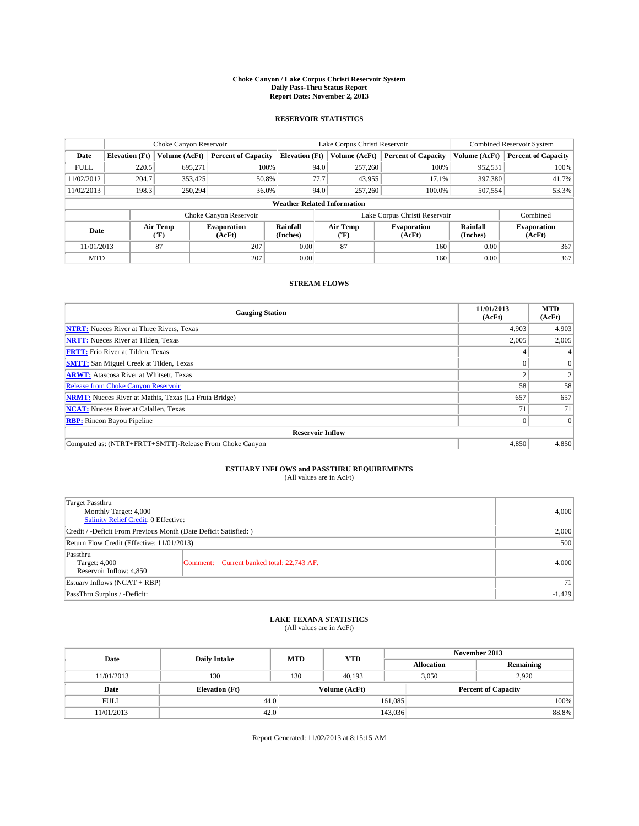#### **Choke Canyon / Lake Corpus Christi Reservoir System Daily Pass-Thru Status Report Report Date: November 2, 2013**

### **RESERVOIR STATISTICS**

|             |                                    | Choke Canyon Reservoir |                              |                       | Lake Corpus Christi Reservoir | <b>Combined Reservoir System</b> |               |                              |  |
|-------------|------------------------------------|------------------------|------------------------------|-----------------------|-------------------------------|----------------------------------|---------------|------------------------------|--|
| Date        | <b>Elevation</b> (Ft)              | Volume (AcFt)          | <b>Percent of Capacity</b>   | <b>Elevation (Ft)</b> | Volume (AcFt)                 | <b>Percent of Capacity</b>       | Volume (AcFt) | <b>Percent of Capacity</b>   |  |
| <b>FULL</b> | 220.5                              | 695.271                | 100%                         | 94.0                  | 257,260                       | 100%                             | 952,531       | 100%                         |  |
| 11/02/2012  | 204.7                              | 353,425                | 50.8%                        | 77.7                  | 43,955                        | 17.1%                            | 397,380       | 41.7%                        |  |
| 11/02/2013  | 198.3                              | 250,294                | 36.0%                        | 94.0                  | 257,260                       | 100.0%                           | 507,554       | 53.3%                        |  |
|             | <b>Weather Related Information</b> |                        |                              |                       |                               |                                  |               |                              |  |
|             |                                    |                        | Choke Canyon Reservoir       |                       |                               | Lake Corpus Christi Reservoir    |               | Combined                     |  |
| Date        | Air Temp<br>(°F)                   |                        | <b>Evaporation</b><br>(AcFt) | Rainfall<br>(Inches)  | Air Temp<br>("F)              | <b>Evaporation</b><br>(AcFt)     |               | <b>Evaporation</b><br>(AcFt) |  |
| 11/01/2013  |                                    | 87                     | 207                          | 0.00                  | 87                            | 160                              | 0.00          | 367                          |  |
| <b>MTD</b>  |                                    |                        | 207                          | 0.00                  |                               | 160                              | 0.00          | 367                          |  |

### **STREAM FLOWS**

| <b>Gauging Station</b>                                       | 11/01/2013<br>(AcFt) | <b>MTD</b><br>(AcFt) |  |  |  |  |
|--------------------------------------------------------------|----------------------|----------------------|--|--|--|--|
| <b>NTRT:</b> Nueces River at Three Rivers, Texas             | 4,903                | 4,903                |  |  |  |  |
| <b>NRTT:</b> Nueces River at Tilden, Texas                   | 2,005                | 2,005                |  |  |  |  |
| <b>FRTT:</b> Frio River at Tilden, Texas                     |                      |                      |  |  |  |  |
| <b>SMTT:</b> San Miguel Creek at Tilden, Texas               |                      | $\Omega$             |  |  |  |  |
| <b>ARWT:</b> Atascosa River at Whitsett, Texas               |                      |                      |  |  |  |  |
| <b>Release from Choke Canyon Reservoir</b>                   | 58                   | 58                   |  |  |  |  |
| <b>NRMT:</b> Nueces River at Mathis, Texas (La Fruta Bridge) | 657                  | 657                  |  |  |  |  |
| <b>NCAT:</b> Nueces River at Calallen, Texas                 | 71                   | 71                   |  |  |  |  |
| <b>RBP:</b> Rincon Bayou Pipeline                            |                      | $\Omega$             |  |  |  |  |
| <b>Reservoir Inflow</b>                                      |                      |                      |  |  |  |  |
| Computed as: (NTRT+FRTT+SMTT)-Release From Choke Canyon      | 4,850                | 4,850                |  |  |  |  |

# **ESTUARY INFLOWS and PASSTHRU REQUIREMENTS**<br>(All values are in AcFt)

| Target Passthru<br>Monthly Target: 4,000                         |                                           |       |  |  |
|------------------------------------------------------------------|-------------------------------------------|-------|--|--|
| Salinity Relief Credit: 0 Effective:                             |                                           |       |  |  |
| Credit / -Deficit From Previous Month (Date Deficit Satisfied: ) |                                           |       |  |  |
| Return Flow Credit (Effective: 11/01/2013)                       |                                           |       |  |  |
| Passthru<br>Target: 4,000<br>Reservoir Inflow: 4,850             | Comment: Current banked total: 22,743 AF. | 4,000 |  |  |
| Estuary Inflows $(NCAT + RBP)$                                   |                                           |       |  |  |
| PassThru Surplus / -Deficit:                                     | $-1,429$                                  |       |  |  |

## **LAKE TEXANA STATISTICS** (All values are in AcFt)

| Date        | <b>Daily Intake</b>   | <b>MTD</b>    | <b>YTD</b> | November 2013     |                            |           |  |
|-------------|-----------------------|---------------|------------|-------------------|----------------------------|-----------|--|
|             |                       |               |            | <b>Allocation</b> |                            | Remaining |  |
| 11/01/2013  | 130                   | 130           | 40.193     |                   | 2.920<br>3,050             |           |  |
| Date        | <b>Elevation</b> (Ft) | Volume (AcFt) |            |                   | <b>Percent of Capacity</b> |           |  |
| <b>FULL</b> | 44.0                  |               |            | 161,085           |                            | 100%      |  |
| 11/01/2013  | 42.0                  |               |            | 143,036           |                            | 88.8%     |  |

Report Generated: 11/02/2013 at 8:15:15 AM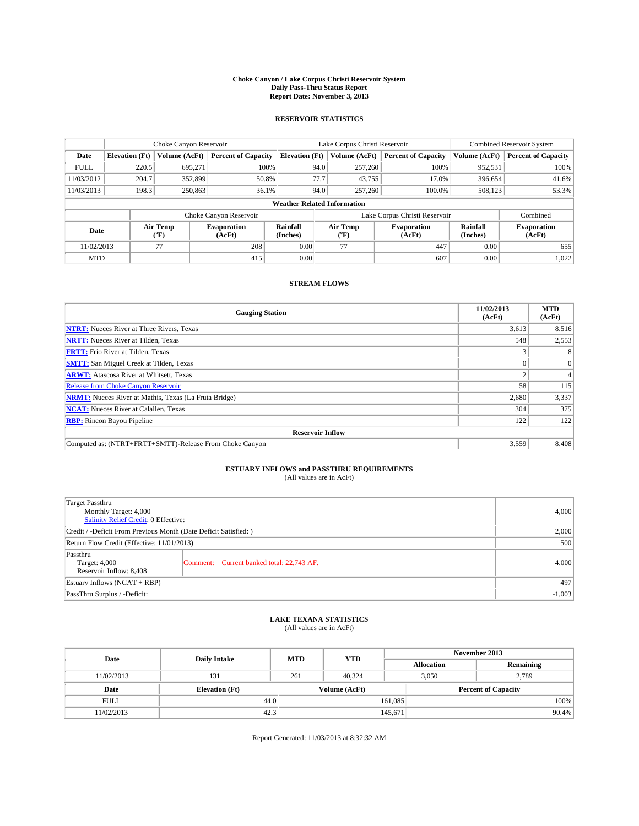#### **Choke Canyon / Lake Corpus Christi Reservoir System Daily Pass-Thru Status Report Report Date: November 3, 2013**

### **RESERVOIR STATISTICS**

|             |                                    | Choke Canyon Reservoir |                              |                       | Lake Corpus Christi Reservoir | Combined Reservoir System     |               |                              |  |
|-------------|------------------------------------|------------------------|------------------------------|-----------------------|-------------------------------|-------------------------------|---------------|------------------------------|--|
| Date        | <b>Elevation</b> (Ft)              | Volume (AcFt)          | <b>Percent of Capacity</b>   | <b>Elevation</b> (Ft) | Volume (AcFt)                 | <b>Percent of Capacity</b>    | Volume (AcFt) | <b>Percent of Capacity</b>   |  |
| <b>FULL</b> | 220.5                              | 695,271                | 100%                         | 94.0                  | 257,260                       | 100%                          | 952,531       | 100%                         |  |
| 11/03/2012  | 204.7                              | 352,899                | 50.8%                        | 77.7                  | 43,755                        | 17.0%                         | 396,654       | 41.6%                        |  |
| 11/03/2013  | 198.3                              | 250,863                | 36.1%                        | 94.0                  | 257,260                       | 100.0%                        | 508,123       | 53.3%                        |  |
|             | <b>Weather Related Information</b> |                        |                              |                       |                               |                               |               |                              |  |
|             |                                    |                        | Choke Canyon Reservoir       |                       |                               | Lake Corpus Christi Reservoir |               | Combined                     |  |
| Date        |                                    | Air Temp<br>(°F)       | <b>Evaporation</b><br>(AcFt) | Rainfall<br>(Inches)  | Air Temp<br>("F)              | <b>Evaporation</b><br>(AcFt)  |               | <b>Evaporation</b><br>(AcFt) |  |
| 11/02/2013  |                                    | 77                     | 208                          | 0.00                  | 77                            | 447                           | 0.00          | 655                          |  |
| <b>MTD</b>  |                                    |                        | 415                          | 0.00                  |                               | 607                           | 0.00          | 1,022                        |  |

### **STREAM FLOWS**

| <b>Gauging Station</b>                                       | 11/02/2013<br>(AcFt) | <b>MTD</b><br>(AcFt) |  |  |  |  |
|--------------------------------------------------------------|----------------------|----------------------|--|--|--|--|
| <b>NTRT:</b> Nueces River at Three Rivers, Texas             | 3,613                | 8,516                |  |  |  |  |
| <b>NRTT:</b> Nueces River at Tilden, Texas                   | 548                  | 2,553                |  |  |  |  |
| <b>FRTT:</b> Frio River at Tilden, Texas                     |                      |                      |  |  |  |  |
| <b>SMTT:</b> San Miguel Creek at Tilden, Texas               |                      | $\Omega$             |  |  |  |  |
| <b>ARWT:</b> Atascosa River at Whitsett, Texas               | Δ                    |                      |  |  |  |  |
| Release from Choke Canyon Reservoir                          | 58                   | 115                  |  |  |  |  |
| <b>NRMT:</b> Nueces River at Mathis, Texas (La Fruta Bridge) | 2,680                | 3,337                |  |  |  |  |
| <b>NCAT:</b> Nueces River at Calallen, Texas                 | 304                  | 375                  |  |  |  |  |
| <b>RBP:</b> Rincon Bayou Pipeline                            | 122                  | 122                  |  |  |  |  |
| <b>Reservoir Inflow</b>                                      |                      |                      |  |  |  |  |
| Computed as: (NTRT+FRTT+SMTT)-Release From Choke Canyon      | 3,559                | 8,408                |  |  |  |  |

# **ESTUARY INFLOWS and PASSTHRU REQUIREMENTS**<br>(All values are in AcFt)

| Target Passthru                                                  |                                           |       |  |  |
|------------------------------------------------------------------|-------------------------------------------|-------|--|--|
| Monthly Target: 4,000<br>Salinity Relief Credit: 0 Effective:    | 4,000                                     |       |  |  |
|                                                                  |                                           |       |  |  |
| Credit / -Deficit From Previous Month (Date Deficit Satisfied: ) |                                           |       |  |  |
| Return Flow Credit (Effective: 11/01/2013)                       |                                           |       |  |  |
| Passthru<br>Target: 4,000<br>Reservoir Inflow: 8,408             | Comment: Current banked total: 22,743 AF. | 4,000 |  |  |
| Estuary Inflows $(NCAT + RBP)$                                   |                                           |       |  |  |
| PassThru Surplus / -Deficit:                                     | $-1,003$                                  |       |  |  |

# **LAKE TEXANA STATISTICS** (All values are in AcFt)

| Date        | <b>Daily Intake</b>   | <b>MTD</b> | <b>YTD</b>    | November 2013     |                            |           |  |
|-------------|-----------------------|------------|---------------|-------------------|----------------------------|-----------|--|
|             |                       |            |               | <b>Allocation</b> |                            | Remaining |  |
| 11/02/2013  | 131                   | 261        | 40.324        | 3,050             |                            | 2,789     |  |
| Date        | <b>Elevation</b> (Ft) |            | Volume (AcFt) |                   | <b>Percent of Capacity</b> |           |  |
| <b>FULL</b> | 44.0                  |            |               | 161,085           |                            | 100%      |  |
| 11/02/2013  | 42.3                  |            |               | 145,671           |                            | 90.4%     |  |

Report Generated: 11/03/2013 at 8:32:32 AM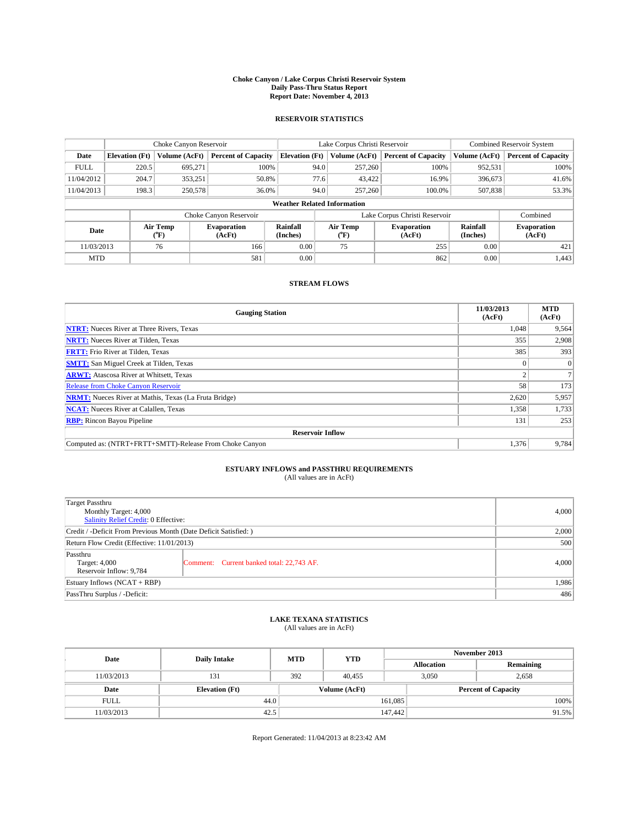#### **Choke Canyon / Lake Corpus Christi Reservoir System Daily Pass-Thru Status Report Report Date: November 4, 2013**

### **RESERVOIR STATISTICS**

|             | Choke Canyon Reservoir |               |                                                      |                                    | Lake Corpus Christi Reservoir | <b>Combined Reservoir System</b> |                      |                              |
|-------------|------------------------|---------------|------------------------------------------------------|------------------------------------|-------------------------------|----------------------------------|----------------------|------------------------------|
| Date        | <b>Elevation</b> (Ft)  | Volume (AcFt) | <b>Percent of Capacity</b>                           | <b>Elevation (Ft)</b>              | Volume (AcFt)                 | <b>Percent of Capacity</b>       | Volume (AcFt)        | <b>Percent of Capacity</b>   |
| <b>FULL</b> | 220.5                  | 695.271       | 100%                                                 | 94.0                               | 257,260                       | 100%                             | 952,531              | 100%                         |
| 11/04/2012  | 204.7                  | 353,251       | 50.8%                                                | 77.6                               | 43,422                        | 16.9%                            | 396,673              | 41.6%                        |
| 11/04/2013  | 198.3                  | 250,578       | 36.0%                                                | 94.0                               | 257,260                       | 100.0%                           | 507,838              | 53.3%                        |
|             |                        |               |                                                      | <b>Weather Related Information</b> |                               |                                  |                      |                              |
|             |                        |               | Choke Canyon Reservoir                               |                                    |                               | Lake Corpus Christi Reservoir    |                      | Combined                     |
| Date        | Air Temp<br>(°F)       |               | Rainfall<br><b>Evaporation</b><br>(Inches)<br>(AcFt) |                                    | Air Temp<br>("F)              | <b>Evaporation</b><br>(AcFt)     | Rainfall<br>(Inches) | <b>Evaporation</b><br>(AcFt) |
| 11/03/2013  |                        | 76            | 166                                                  | 0.00                               | 75                            | 255                              | 0.00                 | 421                          |
| <b>MTD</b>  |                        |               | 581                                                  | 0.00                               |                               | 862                              | 0.00                 | 1.443                        |

### **STREAM FLOWS**

| <b>Gauging Station</b>                                       | 11/03/2013<br>(AcFt) | <b>MTD</b><br>(AcFt) |  |  |  |
|--------------------------------------------------------------|----------------------|----------------------|--|--|--|
| <b>NTRT:</b> Nueces River at Three Rivers, Texas             | 1,048                | 9,564                |  |  |  |
| <b>NRTT:</b> Nueces River at Tilden, Texas                   | 355                  | 2,908                |  |  |  |
| <b>FRTT:</b> Frio River at Tilden, Texas                     | 385                  | 393                  |  |  |  |
| <b>SMTT:</b> San Miguel Creek at Tilden, Texas               |                      | $\Omega$             |  |  |  |
| <b>ARWT:</b> Atascosa River at Whitsett, Texas               |                      |                      |  |  |  |
| <b>Release from Choke Canyon Reservoir</b>                   | 58                   | 173                  |  |  |  |
| <b>NRMT:</b> Nueces River at Mathis, Texas (La Fruta Bridge) | 2,620                | 5,957                |  |  |  |
| <b>NCAT:</b> Nueces River at Calallen, Texas                 | 1,358                | 1,733                |  |  |  |
| <b>RBP:</b> Rincon Bayou Pipeline                            | 131                  | 253                  |  |  |  |
| <b>Reservoir Inflow</b>                                      |                      |                      |  |  |  |
| Computed as: (NTRT+FRTT+SMTT)-Release From Choke Canyon      | 1,376                | 9,784                |  |  |  |

# **ESTUARY INFLOWS and PASSTHRU REQUIREMENTS**<br>(All values are in AcFt)

| <b>Target Passthru</b><br>Monthly Target: 4,000<br>Salinity Relief Credit: 0 Effective: |                                           |       |  |  |
|-----------------------------------------------------------------------------------------|-------------------------------------------|-------|--|--|
| Credit / -Deficit From Previous Month (Date Deficit Satisfied: )                        | 2,000                                     |       |  |  |
| Return Flow Credit (Effective: 11/01/2013)                                              |                                           |       |  |  |
| Passthru<br>Target: 4,000<br>Reservoir Inflow: 9,784                                    | Comment: Current banked total: 22,743 AF. | 4,000 |  |  |
| Estuary Inflows $(NCAT + RBP)$                                                          | 1,986                                     |       |  |  |
| PassThru Surplus / -Deficit:                                                            | 486                                       |       |  |  |

# **LAKE TEXANA STATISTICS** (All values are in AcFt)

| Date        | <b>Daily Intake</b>   | <b>MTD</b> | <b>YTD</b>    | November 2013     |                            |           |       |
|-------------|-----------------------|------------|---------------|-------------------|----------------------------|-----------|-------|
|             |                       |            |               | <b>Allocation</b> |                            | Remaining |       |
| 11/03/2013  | 131                   | 392        | 40.455        |                   | 3,050<br>2,658             |           |       |
| Date        | <b>Elevation</b> (Ft) |            | Volume (AcFt) |                   | <b>Percent of Capacity</b> |           |       |
| <b>FULL</b> | 44.0                  |            |               | 161,085           |                            |           | 100%  |
| 11/03/2013  | 42.5                  |            |               | 147,442           |                            |           | 91.5% |

Report Generated: 11/04/2013 at 8:23:42 AM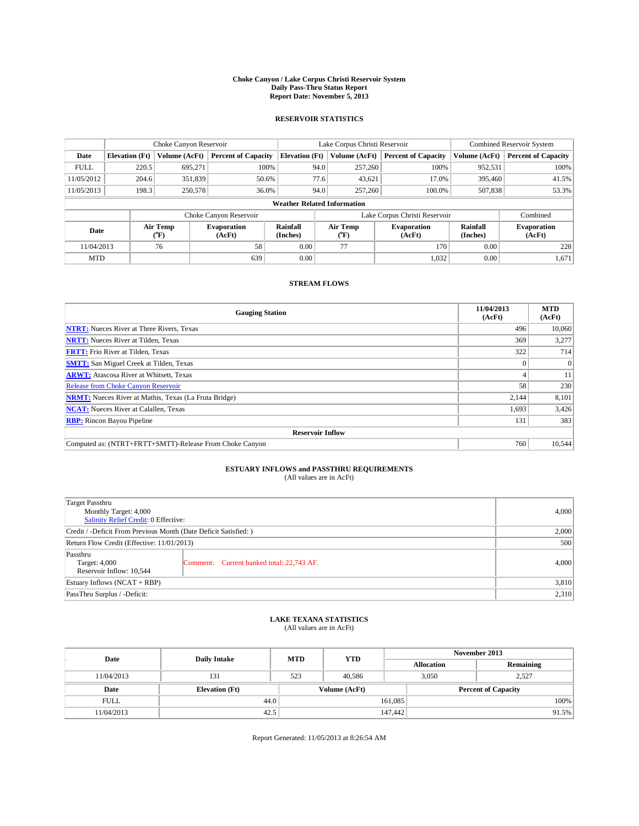#### **Choke Canyon / Lake Corpus Christi Reservoir System Daily Pass-Thru Status Report Report Date: November 5, 2013**

### **RESERVOIR STATISTICS**

|             | Choke Canyon Reservoir |                  |                              |                                    | Lake Corpus Christi Reservoir | Combined Reservoir System     |                      |                              |
|-------------|------------------------|------------------|------------------------------|------------------------------------|-------------------------------|-------------------------------|----------------------|------------------------------|
| Date        | <b>Elevation</b> (Ft)  | Volume (AcFt)    | <b>Percent of Capacity</b>   | <b>Elevation</b> (Ft)              | Volume (AcFt)                 | <b>Percent of Capacity</b>    | Volume (AcFt)        | <b>Percent of Capacity</b>   |
| <b>FULL</b> | 220.5                  | 695.271          | 100%                         | 94.0                               | 257,260                       | 100%                          | 952,531              | 100%                         |
| 11/05/2012  | 204.6                  | 351,839          | 50.6%                        | 77.6                               | 43,621                        | 17.0%                         | 395,460              | 41.5%                        |
| 11/05/2013  | 198.3                  | 250,578          | 36.0%                        | 94.0                               | 257,260                       | 100.0%                        | 507,838              | 53.3%                        |
|             |                        |                  |                              | <b>Weather Related Information</b> |                               |                               |                      |                              |
|             |                        |                  | Choke Canyon Reservoir       |                                    |                               | Lake Corpus Christi Reservoir |                      | Combined                     |
| Date        |                        | Air Temp<br>(°F) | <b>Evaporation</b><br>(AcFt) | Rainfall<br>(Inches)               | Air Temp<br>(°F)              | <b>Evaporation</b><br>(AcFt)  | Rainfall<br>(Inches) | <b>Evaporation</b><br>(AcFt) |
| 11/04/2013  |                        | 76               | 58                           | 0.00                               | 77                            | 170                           | 0.00                 | 228                          |
| <b>MTD</b>  |                        |                  | 639                          | 0.00                               |                               | 1,032                         | 0.00                 | 1,671                        |

### **STREAM FLOWS**

| <b>Gauging Station</b>                                       | 11/04/2013<br>(AcFt) | <b>MTD</b><br>(AcFt) |  |  |  |
|--------------------------------------------------------------|----------------------|----------------------|--|--|--|
| <b>NTRT:</b> Nueces River at Three Rivers, Texas             | 496                  | 10,060               |  |  |  |
| <b>NRTT:</b> Nueces River at Tilden, Texas                   | 369                  | 3,277                |  |  |  |
| <b>FRTT:</b> Frio River at Tilden, Texas                     | 322                  | 714                  |  |  |  |
| <b>SMTT:</b> San Miguel Creek at Tilden, Texas               |                      | $\Omega$             |  |  |  |
| <b>ARWT:</b> Atascosa River at Whitsett, Texas               |                      | 11                   |  |  |  |
| <b>Release from Choke Canyon Reservoir</b>                   | 58                   | 230                  |  |  |  |
| <b>NRMT:</b> Nueces River at Mathis, Texas (La Fruta Bridge) | 2,144                | 8,101                |  |  |  |
| <b>NCAT:</b> Nueces River at Calallen, Texas                 | 1,693                | 3,426                |  |  |  |
| <b>RBP:</b> Rincon Bayou Pipeline                            | 131                  | 383                  |  |  |  |
| <b>Reservoir Inflow</b>                                      |                      |                      |  |  |  |
| Computed as: (NTRT+FRTT+SMTT)-Release From Choke Canyon      | 760                  | 10,544               |  |  |  |

# **ESTUARY INFLOWS and PASSTHRU REQUIREMENTS**<br>(All values are in AcFt)

| <b>Target Passthru</b><br>Monthly Target: 4,000<br>Salinity Relief Credit: 0 Effective: | 4,000                                     |       |  |  |
|-----------------------------------------------------------------------------------------|-------------------------------------------|-------|--|--|
| Credit / -Deficit From Previous Month (Date Deficit Satisfied: )                        |                                           |       |  |  |
| Return Flow Credit (Effective: 11/01/2013)                                              |                                           |       |  |  |
| Passthru<br>Target: 4,000<br>Reservoir Inflow: 10,544                                   | Comment: Current banked total: 22,743 AF. | 4,000 |  |  |
| Estuary Inflows $(NCAT + RBP)$                                                          |                                           |       |  |  |
| PassThru Surplus / -Deficit:                                                            | 2,310                                     |       |  |  |

# **LAKE TEXANA STATISTICS** (All values are in AcFt)

| Date        | <b>Daily Intake</b>   | <b>MTD</b>    | <b>YTD</b> | November 2013              |                |           |  |
|-------------|-----------------------|---------------|------------|----------------------------|----------------|-----------|--|
|             |                       |               |            | <b>Allocation</b>          |                | Remaining |  |
| 11/04/2013  | 131                   | 523           | 40.586     |                            | 3,050<br>2.527 |           |  |
| Date        | <b>Elevation</b> (Ft) | Volume (AcFt) |            | <b>Percent of Capacity</b> |                |           |  |
| <b>FULL</b> | 44.0                  |               |            | 161,085                    |                | 100%      |  |
| 11/04/2013  | 42.5                  |               |            | 147,442                    |                | 91.5%     |  |

Report Generated: 11/05/2013 at 8:26:54 AM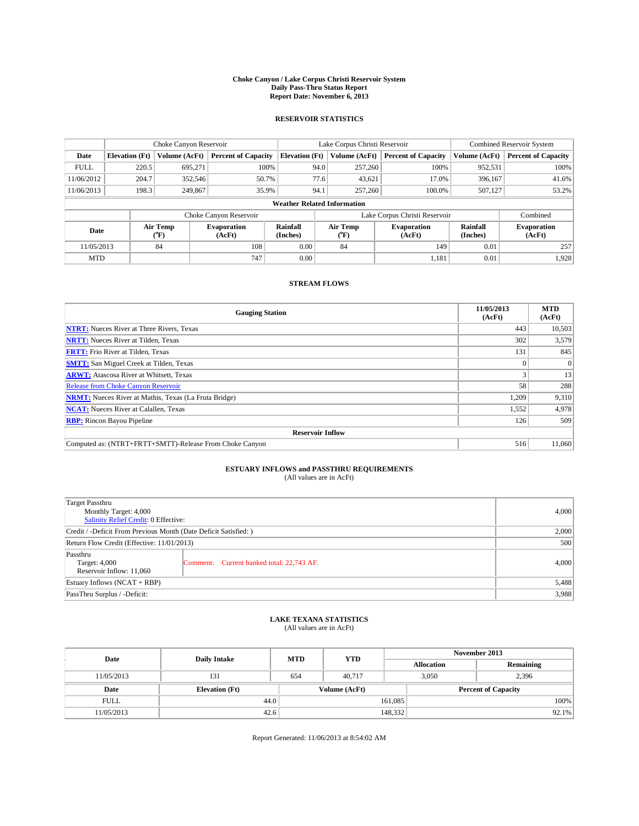#### **Choke Canyon / Lake Corpus Christi Reservoir System Daily Pass-Thru Status Report Report Date: November 6, 2013**

### **RESERVOIR STATISTICS**

|             |                       | Choke Canyon Reservoir |                              |                                    | Lake Corpus Christi Reservoir | <b>Combined Reservoir System</b> |                      |                              |
|-------------|-----------------------|------------------------|------------------------------|------------------------------------|-------------------------------|----------------------------------|----------------------|------------------------------|
| Date        | <b>Elevation</b> (Ft) | Volume (AcFt)          | <b>Percent of Capacity</b>   | <b>Elevation (Ft)</b>              | Volume (AcFt)                 | <b>Percent of Capacity</b>       | Volume (AcFt)        | <b>Percent of Capacity</b>   |
| <b>FULL</b> | 220.5                 | 695,271                | 100%                         | 94.0                               | 257,260                       | 100%                             | 952,531              | 100%                         |
| 11/06/2012  | 204.7                 | 352,546                | 50.7%                        | 77.6                               | 43,621                        | 17.0%                            | 396,167              | 41.6%                        |
| 11/06/2013  | 198.3                 | 249,867                | 35.9%                        | 94.1                               | 257,260                       | 100.0%                           | 507,127              | 53.2%                        |
|             |                       |                        |                              | <b>Weather Related Information</b> |                               |                                  |                      |                              |
|             |                       |                        | Choke Canyon Reservoir       |                                    |                               | Lake Corpus Christi Reservoir    |                      | Combined                     |
| Date        |                       | Air Temp<br>(°F)       | <b>Evaporation</b><br>(AcFt) | Rainfall<br>(Inches)               | Air Temp<br>("F)              | <b>Evaporation</b><br>(AcFt)     | Rainfall<br>(Inches) | <b>Evaporation</b><br>(AcFt) |
| 11/05/2013  |                       | 84                     | 108                          | 0.00                               | 84                            | 149                              | 0.01                 | 257                          |
| <b>MTD</b>  |                       |                        | 747                          | 0.00                               |                               | 1,181                            | 0.01                 | 1,928                        |

### **STREAM FLOWS**

| <b>Gauging Station</b>                                       | 11/05/2013<br>(AcFt) | <b>MTD</b><br>(AcFt) |  |  |  |
|--------------------------------------------------------------|----------------------|----------------------|--|--|--|
| <b>NTRT:</b> Nueces River at Three Rivers, Texas             | 443                  | 10,503               |  |  |  |
| <b>NRTT:</b> Nueces River at Tilden, Texas                   | 302                  | 3,579                |  |  |  |
| <b>FRTT:</b> Frio River at Tilden, Texas                     | 131                  | 845                  |  |  |  |
| <b>SMTT:</b> San Miguel Creek at Tilden, Texas               |                      | $\Omega$             |  |  |  |
| <b>ARWT:</b> Atascosa River at Whitsett, Texas               |                      | 13                   |  |  |  |
| <b>Release from Choke Canyon Reservoir</b>                   | 58                   | 288                  |  |  |  |
| <b>NRMT:</b> Nueces River at Mathis, Texas (La Fruta Bridge) | 1,209                | 9,310                |  |  |  |
| <b>NCAT:</b> Nueces River at Calallen, Texas                 | 1,552                | 4,978                |  |  |  |
| <b>RBP:</b> Rincon Bayou Pipeline                            | 126                  | 509                  |  |  |  |
| <b>Reservoir Inflow</b>                                      |                      |                      |  |  |  |
| Computed as: (NTRT+FRTT+SMTT)-Release From Choke Canyon      | 516                  | 11,060               |  |  |  |

# **ESTUARY INFLOWS and PASSTHRU REQUIREMENTS**<br>(All values are in AcFt)

| <b>Target Passthru</b><br>Monthly Target: 4,000<br>Salinity Relief Credit: 0 Effective: |                                           |       |  |  |
|-----------------------------------------------------------------------------------------|-------------------------------------------|-------|--|--|
| Credit / -Deficit From Previous Month (Date Deficit Satisfied: )                        |                                           |       |  |  |
| Return Flow Credit (Effective: 11/01/2013)                                              |                                           |       |  |  |
| Passthru<br>Target: 4,000<br>Reservoir Inflow: 11.060                                   | Comment: Current banked total: 22,743 AF. | 4,000 |  |  |
| Estuary Inflows $(NCAT + RBP)$                                                          |                                           |       |  |  |
| PassThru Surplus / -Deficit:                                                            | 3,988                                     |       |  |  |

# **LAKE TEXANA STATISTICS** (All values are in AcFt)

| Date        | <b>Daily Intake</b>   | <b>MTD</b> | <b>YTD</b>    | November 2013     |                            |           |  |
|-------------|-----------------------|------------|---------------|-------------------|----------------------------|-----------|--|
|             |                       |            |               | <b>Allocation</b> |                            | Remaining |  |
| 11/05/2013  | 131                   | 654        | 40.717        |                   | 3,050<br>2,396             |           |  |
| Date        | <b>Elevation</b> (Ft) |            | Volume (AcFt) |                   | <b>Percent of Capacity</b> |           |  |
| <b>FULL</b> | 44.0                  |            |               | 161,085           |                            | 100%      |  |
| 11/05/2013  | 42.6                  |            |               | 148,332           |                            | $92.1\%$  |  |

Report Generated: 11/06/2013 at 8:54:02 AM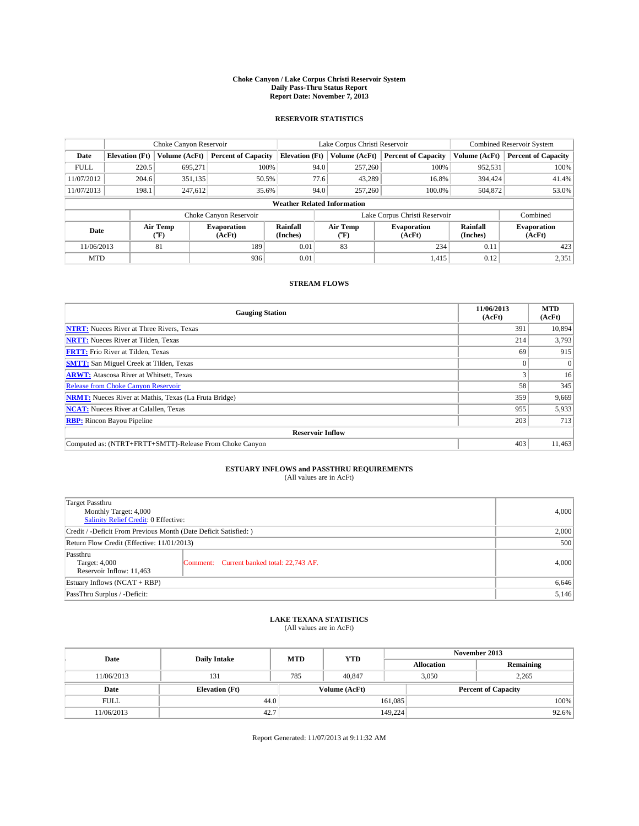#### **Choke Canyon / Lake Corpus Christi Reservoir System Daily Pass-Thru Status Report Report Date: November 7, 2013**

### **RESERVOIR STATISTICS**

|             |                       | Choke Canyon Reservoir |                              |                                    | Lake Corpus Christi Reservoir | <b>Combined Reservoir System</b> |                      |                              |
|-------------|-----------------------|------------------------|------------------------------|------------------------------------|-------------------------------|----------------------------------|----------------------|------------------------------|
| Date        | <b>Elevation</b> (Ft) | Volume (AcFt)          | <b>Percent of Capacity</b>   | <b>Elevation (Ft)</b>              | Volume (AcFt)                 | <b>Percent of Capacity</b>       | Volume (AcFt)        | <b>Percent of Capacity</b>   |
| <b>FULL</b> | 220.5                 | 695,271                | 100%                         | 94.0                               | 257,260                       | 100%                             | 952,531              | 100%                         |
| 11/07/2012  | 204.6                 | 351,135                | 50.5%                        | 77.6                               | 43,289                        | 16.8%                            | 394,424              | 41.4%                        |
| 11/07/2013  | 198.1                 | 247,612                | 35.6%                        | 94.0                               | 257,260                       | 100.0%                           | 504,872              | 53.0%                        |
|             |                       |                        |                              | <b>Weather Related Information</b> |                               |                                  |                      |                              |
|             |                       |                        | Choke Canyon Reservoir       |                                    | Lake Corpus Christi Reservoir |                                  | Combined             |                              |
| Date        |                       | Air Temp<br>(°F)       | <b>Evaporation</b><br>(AcFt) | Rainfall<br>(Inches)               | Air Temp<br>$(^{o}F)$         | <b>Evaporation</b><br>(AcFt)     | Rainfall<br>(Inches) | <b>Evaporation</b><br>(AcFt) |
| 11/06/2013  |                       | 81                     | 189                          | 0.01                               | 83                            | 234                              | 0.11                 | 423                          |
| <b>MTD</b>  |                       |                        | 936                          | 0.01                               |                               | 1,415                            | 0.12                 | 2,351                        |

### **STREAM FLOWS**

| <b>Gauging Station</b>                                       | 11/06/2013<br>(AcFt) | <b>MTD</b><br>(AcFt) |  |  |  |  |
|--------------------------------------------------------------|----------------------|----------------------|--|--|--|--|
| <b>NTRT:</b> Nueces River at Three Rivers, Texas             | 391                  | 10,894               |  |  |  |  |
| <b>NRTT:</b> Nueces River at Tilden, Texas                   | 214                  | 3,793                |  |  |  |  |
| <b>FRTT:</b> Frio River at Tilden, Texas                     | 69                   | 915                  |  |  |  |  |
| <b>SMTT:</b> San Miguel Creek at Tilden, Texas               |                      | $\overline{0}$       |  |  |  |  |
| <b>ARWT:</b> Atascosa River at Whitsett, Texas               |                      | 16                   |  |  |  |  |
| <b>Release from Choke Canyon Reservoir</b>                   | 58                   | 345                  |  |  |  |  |
| <b>NRMT:</b> Nueces River at Mathis, Texas (La Fruta Bridge) | 359                  | 9,669                |  |  |  |  |
| <b>NCAT:</b> Nueces River at Calallen, Texas                 | 955                  | 5,933                |  |  |  |  |
| <b>RBP:</b> Rincon Bayou Pipeline                            | 203                  | 713                  |  |  |  |  |
| <b>Reservoir Inflow</b>                                      |                      |                      |  |  |  |  |
| Computed as: (NTRT+FRTT+SMTT)-Release From Choke Canyon      | 403                  | 11,463               |  |  |  |  |

# **ESTUARY INFLOWS and PASSTHRU REQUIREMENTS**<br>(All values are in AcFt)

| <b>Target Passthru</b><br>Monthly Target: 4,000<br>Salinity Relief Credit: 0 Effective: |                                           |       |  |  |
|-----------------------------------------------------------------------------------------|-------------------------------------------|-------|--|--|
| Credit / -Deficit From Previous Month (Date Deficit Satisfied: )                        |                                           |       |  |  |
| Return Flow Credit (Effective: 11/01/2013)                                              |                                           |       |  |  |
| Passthru<br>Target: 4,000<br>Reservoir Inflow: 11,463                                   | Comment: Current banked total: 22,743 AF. | 4,000 |  |  |
| Estuary Inflows $(NCAT + RBP)$                                                          | 6,646                                     |       |  |  |
| PassThru Surplus / -Deficit:                                                            | 5,146                                     |       |  |  |

# **LAKE TEXANA STATISTICS** (All values are in AcFt)

| Date        | <b>Daily Intake</b>   | <b>MTD</b>    | <b>YTD</b> | November 2013     |                            |           |  |
|-------------|-----------------------|---------------|------------|-------------------|----------------------------|-----------|--|
|             |                       |               |            | <b>Allocation</b> |                            | Remaining |  |
| 11/06/2013  | 131                   | 785           | 40.847     |                   | 3,050<br>2,265             |           |  |
| Date        | <b>Elevation</b> (Ft) | Volume (AcFt) |            |                   | <b>Percent of Capacity</b> |           |  |
| <b>FULL</b> | 44.0                  |               |            | 161.085           |                            | 100%      |  |
| 11/06/2013  | 42.7                  |               |            | 149.224           |                            | 92.6%     |  |

Report Generated: 11/07/2013 at 9:11:32 AM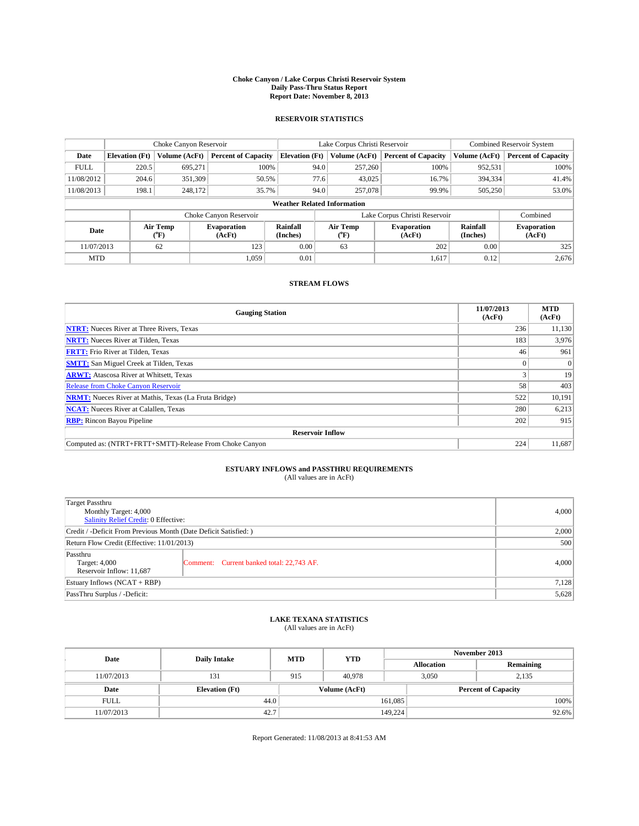#### **Choke Canyon / Lake Corpus Christi Reservoir System Daily Pass-Thru Status Report Report Date: November 8, 2013**

#### **RESERVOIR STATISTICS**

|                                    | Choke Canyon Reservoir |                    |                            | Lake Corpus Christi Reservoir      | Combined Reservoir System     |                       |                            |                              |                            |
|------------------------------------|------------------------|--------------------|----------------------------|------------------------------------|-------------------------------|-----------------------|----------------------------|------------------------------|----------------------------|
| Date                               | <b>Elevation</b> (Ft)  | Volume (AcFt)      | <b>Percent of Capacity</b> | <b>Elevation</b> (Ft)              |                               | Volume (AcFt)         | <b>Percent of Capacity</b> | Volume (AcFt)                | <b>Percent of Capacity</b> |
| <b>FULL</b>                        | 220.5                  | 695.271            |                            | 100%<br>257,260<br>94.0            |                               | 100%                  | 952,531                    | 100%                         |                            |
| 11/08/2012                         | 204.6                  | 351,309            | 50.5%                      |                                    | 77.6                          | 43,025                | 16.7%                      | 394,334                      | 41.4%                      |
| 11/08/2013                         | 198.1                  | 248,172            | 35.7%                      |                                    | 94.0                          | 257,078               | 99.9%                      | 505,250                      | 53.0%                      |
|                                    |                        |                    |                            | <b>Weather Related Information</b> |                               |                       |                            |                              |                            |
|                                    |                        |                    | Choke Canyon Reservoir     |                                    | Lake Corpus Christi Reservoir |                       |                            |                              |                            |
| Air Temp<br>Date<br>(°F)<br>(AcFt) |                        | <b>Evaporation</b> | Rainfall<br>(Inches)       |                                    | Air Temp<br>(°F)              | Evaporation<br>(AcFt) | Rainfall<br>(Inches)       | <b>Evaporation</b><br>(AcFt) |                            |
| 11/07/2013                         |                        | 62                 | 123                        | 0.00                               | 63                            |                       | 202<br>0.00                |                              | 325                        |

### **STREAM FLOWS**

MTD  $|$  1,059 0.01 1,059 0.01 1,617 0.12 2,676

| <b>Gauging Station</b>                                       | 11/07/2013<br>(AcFt) | <b>MTD</b><br>(AcFt) |  |  |  |  |
|--------------------------------------------------------------|----------------------|----------------------|--|--|--|--|
| <b>NTRT:</b> Nueces River at Three Rivers, Texas             | 236                  | 11,130               |  |  |  |  |
| <b>NRTT:</b> Nueces River at Tilden, Texas                   | 183                  | 3,976                |  |  |  |  |
| <b>FRTT:</b> Frio River at Tilden, Texas                     | 46                   | 961                  |  |  |  |  |
| <b>SMTT:</b> San Miguel Creek at Tilden, Texas               |                      | $\Omega$             |  |  |  |  |
| <b>ARWT:</b> Atascosa River at Whitsett, Texas               |                      | 19                   |  |  |  |  |
| <b>Release from Choke Canyon Reservoir</b>                   | 58                   | 403                  |  |  |  |  |
| <b>NRMT:</b> Nueces River at Mathis, Texas (La Fruta Bridge) | 522                  | 10,191               |  |  |  |  |
| <b>NCAT:</b> Nueces River at Calallen, Texas                 | 280                  | 6,213                |  |  |  |  |
| <b>RBP:</b> Rincon Bayou Pipeline                            | 202                  | 915                  |  |  |  |  |
| <b>Reservoir Inflow</b>                                      |                      |                      |  |  |  |  |
| Computed as: (NTRT+FRTT+SMTT)-Release From Choke Canyon      | 224                  | 11,687               |  |  |  |  |

# **ESTUARY INFLOWS and PASSTHRU REQUIREMENTS**<br>(All values are in AcFt)

| <b>Target Passthru</b><br>Monthly Target: 4,000<br>Salinity Relief Credit: 0 Effective: |                                           |       |  |  |
|-----------------------------------------------------------------------------------------|-------------------------------------------|-------|--|--|
| Credit / -Deficit From Previous Month (Date Deficit Satisfied: )                        |                                           |       |  |  |
| Return Flow Credit (Effective: 11/01/2013)                                              |                                           |       |  |  |
| Passthru<br>Target: 4,000<br>Reservoir Inflow: 11,687                                   | Comment: Current banked total: 22,743 AF. | 4,000 |  |  |
| Estuary Inflows $(NCAT + RBP)$                                                          |                                           |       |  |  |
| PassThru Surplus / -Deficit:                                                            | 5,628                                     |       |  |  |

# **LAKE TEXANA STATISTICS** (All values are in AcFt)

| Date        | <b>Daily Intake</b>   | <b>MTD</b> | <b>YTD</b>    | November 2013     |                            |           |  |
|-------------|-----------------------|------------|---------------|-------------------|----------------------------|-----------|--|
|             |                       |            |               | <b>Allocation</b> |                            | Remaining |  |
| 11/07/2013  | 131                   | 915        | 40,978        |                   | 3,050<br>2,135             |           |  |
| Date        | <b>Elevation</b> (Ft) |            | Volume (AcFt) |                   | <b>Percent of Capacity</b> |           |  |
| <b>FULL</b> | 44.0                  |            |               | 161,085           |                            | 100%      |  |
| 11/07/2013  | 42.7                  |            |               | 149,224           |                            | 92.6%     |  |

Report Generated: 11/08/2013 at 8:41:53 AM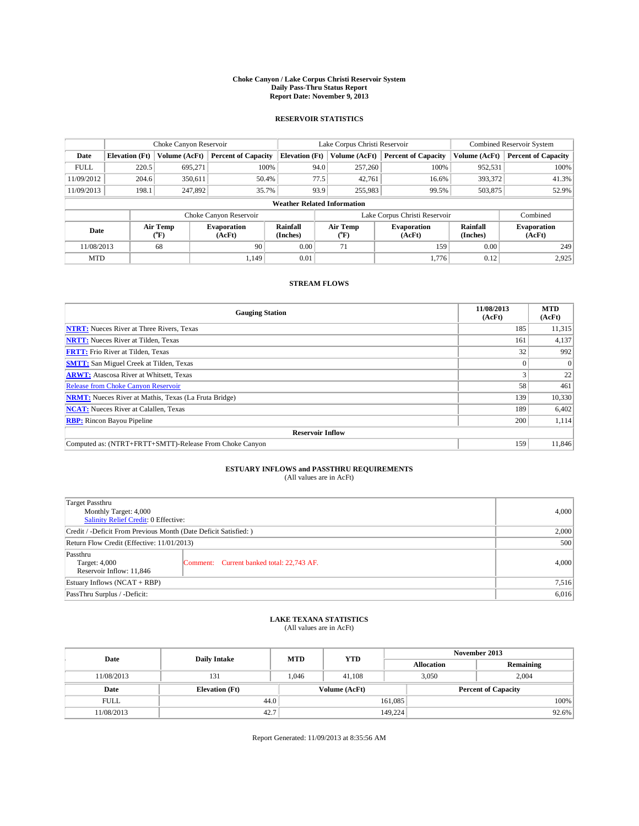#### **Choke Canyon / Lake Corpus Christi Reservoir System Daily Pass-Thru Status Report Report Date: November 9, 2013**

### **RESERVOIR STATISTICS**

|             |                       | Choke Canyon Reservoir |                              |                                    | Lake Corpus Christi Reservoir             | <b>Combined Reservoir System</b> |                      |                              |  |
|-------------|-----------------------|------------------------|------------------------------|------------------------------------|-------------------------------------------|----------------------------------|----------------------|------------------------------|--|
| Date        | <b>Elevation</b> (Ft) | Volume (AcFt)          | <b>Percent of Capacity</b>   | <b>Elevation (Ft)</b>              | Volume (AcFt)                             | <b>Percent of Capacity</b>       | Volume (AcFt)        | <b>Percent of Capacity</b>   |  |
| <b>FULL</b> | 220.5                 | 695,271                | 100%                         | 94.0                               | 257,260                                   | 100%                             | 952,531              | 100%                         |  |
| 11/09/2012  | 204.6                 | 350,611                | 50.4%                        | 77.5                               | 42,761                                    | 16.6%                            | 393,372              | 41.3%                        |  |
| 11/09/2013  | 198.1                 | 247,892                | 35.7%                        | 93.9                               | 255,983                                   | 99.5%                            | 503,875              | 52.9%                        |  |
|             |                       |                        |                              | <b>Weather Related Information</b> |                                           |                                  |                      |                              |  |
|             |                       |                        | Choke Canyon Reservoir       |                                    | Lake Corpus Christi Reservoir<br>Combined |                                  |                      |                              |  |
| Date        |                       | Air Temp<br>(°F)       | <b>Evaporation</b><br>(AcFt) | Rainfall<br>(Inches)               | Air Temp<br>("F)                          | <b>Evaporation</b><br>(AcFt)     | Rainfall<br>(Inches) | <b>Evaporation</b><br>(AcFt) |  |
| 11/08/2013  | 68<br>90              |                        |                              | 0.00                               | 71                                        | 159                              |                      | 249                          |  |
| <b>MTD</b>  |                       |                        | 1.149                        | 0.01                               |                                           | 1,776                            | 0.12                 | 2,925                        |  |

### **STREAM FLOWS**

| <b>Gauging Station</b>                                       | 11/08/2013<br>(AcFt) | <b>MTD</b><br>(AcFt) |  |  |  |  |
|--------------------------------------------------------------|----------------------|----------------------|--|--|--|--|
| <b>NTRT:</b> Nueces River at Three Rivers, Texas             | 185                  | 11,315               |  |  |  |  |
| <b>NRTT:</b> Nueces River at Tilden, Texas                   | 161                  | 4,137                |  |  |  |  |
| <b>FRTT:</b> Frio River at Tilden, Texas                     | 32                   | 992                  |  |  |  |  |
| <b>SMTT:</b> San Miguel Creek at Tilden, Texas               |                      | $\Omega$             |  |  |  |  |
| <b>ARWT:</b> Atascosa River at Whitsett, Texas               |                      | 22                   |  |  |  |  |
| <b>Release from Choke Canyon Reservoir</b>                   | 58                   | 461                  |  |  |  |  |
| <b>NRMT:</b> Nueces River at Mathis, Texas (La Fruta Bridge) | 139                  | 10,330               |  |  |  |  |
| <b>NCAT:</b> Nueces River at Calallen, Texas                 | 189                  | 6,402                |  |  |  |  |
| <b>RBP:</b> Rincon Bayou Pipeline                            | 200                  | 1,114                |  |  |  |  |
| <b>Reservoir Inflow</b>                                      |                      |                      |  |  |  |  |
| Computed as: (NTRT+FRTT+SMTT)-Release From Choke Canyon      | 159                  | 11,846               |  |  |  |  |

# **ESTUARY INFLOWS and PASSTHRU REQUIREMENTS**<br>(All values are in AcFt)

| <b>Target Passthru</b><br>Monthly Target: 4,000<br>Salinity Relief Credit: 0 Effective: | 4,000                                     |       |
|-----------------------------------------------------------------------------------------|-------------------------------------------|-------|
| Credit / -Deficit From Previous Month (Date Deficit Satisfied: )                        | 2,000                                     |       |
| Return Flow Credit (Effective: 11/01/2013)                                              | 500                                       |       |
| Passthru<br>Target: 4,000<br>Reservoir Inflow: 11.846                                   | Comment: Current banked total: 22,743 AF. | 4,000 |
| Estuary Inflows $(NCAT + RBP)$                                                          | 7,516                                     |       |
| PassThru Surplus / -Deficit:                                                            | 6,016                                     |       |

# **LAKE TEXANA STATISTICS** (All values are in AcFt)

| Date        | <b>Daily Intake</b>   | <b>MTD</b> | <b>YTD</b>    | November 2013     |                            |           |  |
|-------------|-----------------------|------------|---------------|-------------------|----------------------------|-----------|--|
|             |                       |            |               | <b>Allocation</b> |                            | Remaining |  |
| 11/08/2013  | 131                   | 1.046      | 41.108        |                   | 2.004<br>3,050             |           |  |
| Date        | <b>Elevation</b> (Ft) |            | Volume (AcFt) |                   | <b>Percent of Capacity</b> |           |  |
| <b>FULL</b> | 44.0                  |            |               | 161,085           |                            | 100%      |  |
| 11/08/2013  | 42.7                  |            |               | 149,224           |                            | 92.6%     |  |

Report Generated: 11/09/2013 at 8:35:56 AM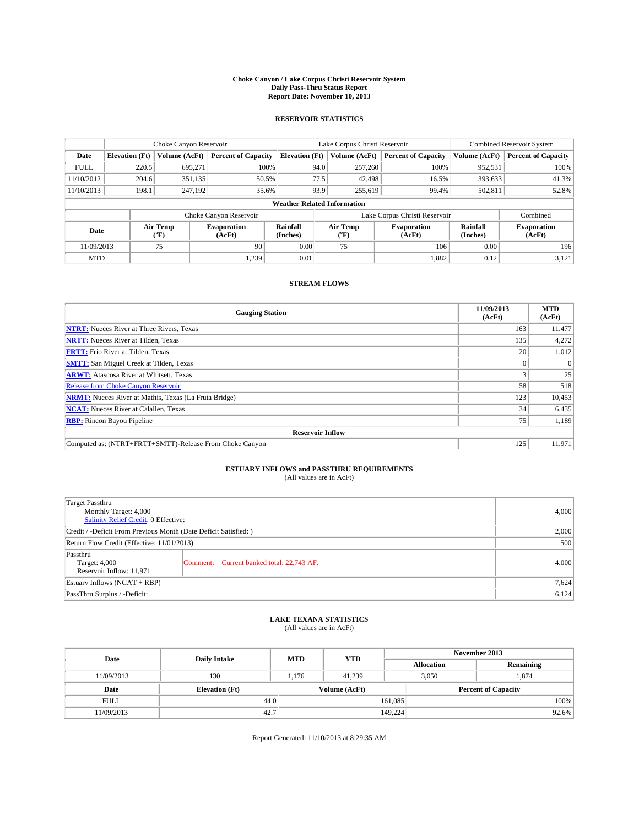#### **Choke Canyon / Lake Corpus Christi Reservoir System Daily Pass-Thru Status Report Report Date: November 10, 2013**

### **RESERVOIR STATISTICS**

|             | Choke Canyon Reservoir |                  |                              |                                    | Lake Corpus Christi Reservoir | <b>Combined Reservoir System</b> |                      |                              |
|-------------|------------------------|------------------|------------------------------|------------------------------------|-------------------------------|----------------------------------|----------------------|------------------------------|
| Date        | <b>Elevation</b> (Ft)  | Volume (AcFt)    | <b>Percent of Capacity</b>   | <b>Elevation (Ft)</b>              | Volume (AcFt)                 | <b>Percent of Capacity</b>       | Volume (AcFt)        | <b>Percent of Capacity</b>   |
| <b>FULL</b> | 220.5                  | 695,271          | 100%                         | 94.0                               | 257,260                       | 100%                             | 952,531              | 100%                         |
| 11/10/2012  | 204.6                  | 351,135          | 50.5%                        | 77.5                               | 42,498                        | 16.5%                            | 393,633              | 41.3%                        |
| 11/10/2013  | 198.1                  | 247,192          | 35.6%                        | 93.9                               | 255,619                       | 99.4%                            | 502,811              | 52.8%                        |
|             |                        |                  |                              | <b>Weather Related Information</b> |                               |                                  |                      |                              |
|             |                        |                  | Choke Canyon Reservoir       |                                    |                               | Lake Corpus Christi Reservoir    |                      | Combined                     |
| Date        |                        | Air Temp<br>("F) | <b>Evaporation</b><br>(AcFt) | Rainfall<br>(Inches)               | Air Temp<br>(TF)              | <b>Evaporation</b><br>(AcFt)     | Rainfall<br>(Inches) | <b>Evaporation</b><br>(AcFt) |
| 11/09/2013  |                        | 75               | 90                           | 0.00                               | 75                            | 106                              | 0.00                 | 196                          |

### **STREAM FLOWS**

MTD  $|$  1,239 0.01 1,239 0.01 1,882 0.12 3,121

| <b>Gauging Station</b>                                       | 11/09/2013<br>(AcFt) | <b>MTD</b><br>(AcFt) |  |  |  |  |
|--------------------------------------------------------------|----------------------|----------------------|--|--|--|--|
| <b>NTRT:</b> Nueces River at Three Rivers, Texas             | 163                  | 11,477               |  |  |  |  |
| <b>NRTT:</b> Nueces River at Tilden, Texas                   | 135                  | 4,272                |  |  |  |  |
| <b>FRTT:</b> Frio River at Tilden, Texas                     | 20                   | 1,012                |  |  |  |  |
| <b>SMTT:</b> San Miguel Creek at Tilden, Texas               |                      | $\Omega$             |  |  |  |  |
| <b>ARWT:</b> Atascosa River at Whitsett, Texas               |                      | 25                   |  |  |  |  |
| <b>Release from Choke Canyon Reservoir</b>                   | 58                   | 518                  |  |  |  |  |
| <b>NRMT:</b> Nueces River at Mathis, Texas (La Fruta Bridge) | 123                  | 10,453               |  |  |  |  |
| <b>NCAT:</b> Nueces River at Calallen, Texas                 | 34                   | 6,435                |  |  |  |  |
| <b>RBP:</b> Rincon Bayou Pipeline                            | 75                   | 1,189                |  |  |  |  |
| <b>Reservoir Inflow</b>                                      |                      |                      |  |  |  |  |
| Computed as: (NTRT+FRTT+SMTT)-Release From Choke Canyon      | 125                  | 11,971               |  |  |  |  |

## **ESTUARY INFLOWS and PASSTHRU REQUIREMENTS**<br>(All values are in AcFt)

| Target Passthru<br>Monthly Target: 4,000<br>Salinity Relief Credit: 0 Effective: | 4,000                                     |       |  |  |  |
|----------------------------------------------------------------------------------|-------------------------------------------|-------|--|--|--|
| Credit / -Deficit From Previous Month (Date Deficit Satisfied: )                 |                                           |       |  |  |  |
| Return Flow Credit (Effective: 11/01/2013)                                       |                                           |       |  |  |  |
| Passthru<br>Target: 4,000<br>Reservoir Inflow: 11,971                            | Comment: Current banked total: 22,743 AF. | 4,000 |  |  |  |
| Estuary Inflows $(NCAT + RBP)$                                                   | 7,624                                     |       |  |  |  |
| PassThru Surplus / -Deficit:                                                     |                                           |       |  |  |  |

## **LAKE TEXANA STATISTICS** (All values are in AcFt)

| Date        | <b>Daily Intake</b>   | <b>MTD</b> | <b>YTD</b>    | November 2013     |                            |           |  |
|-------------|-----------------------|------------|---------------|-------------------|----------------------------|-----------|--|
|             |                       |            |               | <b>Allocation</b> |                            | Remaining |  |
| 11/09/2013  | 130                   | 1,176      | 41.239        |                   | 3,050<br>1,874             |           |  |
| Date        | <b>Elevation</b> (Ft) |            | Volume (AcFt) |                   | <b>Percent of Capacity</b> |           |  |
| <b>FULL</b> | 44.0                  |            |               | 161,085           |                            | 100%      |  |
| 11/09/2013  | 42.7                  |            |               | 149,224           |                            | 92.6%     |  |

Report Generated: 11/10/2013 at 8:29:35 AM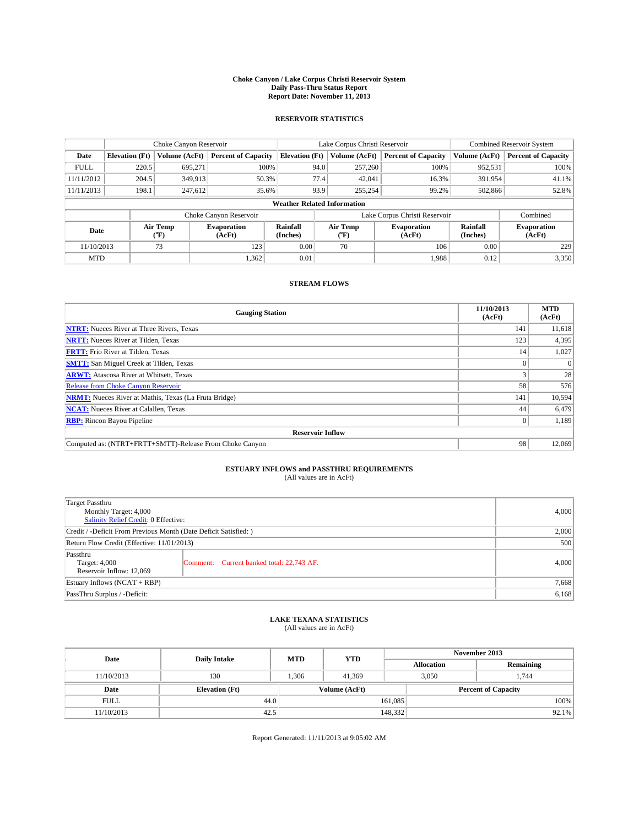#### **Choke Canyon / Lake Corpus Christi Reservoir System Daily Pass-Thru Status Report Report Date: November 11, 2013**

### **RESERVOIR STATISTICS**

|             | Choke Canyon Reservoir                                                                                                       |               |                            |                                    | Lake Corpus Christi Reservoir | <b>Combined Reservoir System</b> |               |                            |
|-------------|------------------------------------------------------------------------------------------------------------------------------|---------------|----------------------------|------------------------------------|-------------------------------|----------------------------------|---------------|----------------------------|
| Date        | <b>Elevation</b> (Ft)                                                                                                        | Volume (AcFt) | <b>Percent of Capacity</b> | <b>Elevation (Ft)</b>              | Volume (AcFt)                 | <b>Percent of Capacity</b>       | Volume (AcFt) | <b>Percent of Capacity</b> |
| <b>FULL</b> | 220.5                                                                                                                        | 695,271       | 100%                       | 94.0                               | 257,260                       | 100%                             | 952,531       | 100%                       |
| 11/11/2012  | 204.5                                                                                                                        | 349,913       | 50.3%                      | 77.4                               | 42,041                        | 16.3%                            | 391,954       | 41.1%                      |
| 11/11/2013  | 198.1                                                                                                                        | 247,612       | 35.6%                      | 93.9                               | 255,254                       | 99.2%                            | 502,866       | 52.8%                      |
|             |                                                                                                                              |               |                            | <b>Weather Related Information</b> |                               |                                  |               |                            |
|             |                                                                                                                              |               | Choke Canyon Reservoir     |                                    |                               | Lake Corpus Christi Reservoir    |               | Combined                   |
| Date        | Air Temp<br>Air Temp<br>Rainfall<br><b>Evaporation</b><br><b>Evaporation</b><br>(Inches)<br>(AcFt)<br>(AcFt)<br>(°F)<br>(°F) |               |                            | Rainfall<br>(Inches)               | <b>Evaporation</b><br>(AcFt)  |                                  |               |                            |
| 11/10/2013  |                                                                                                                              | 73            | 123                        | 0.00                               | 70                            | 106                              | 0.00          | 229                        |
| <b>MTD</b>  |                                                                                                                              |               | 1,362                      | 0.01                               |                               | 1.988                            | 0.12          | 3,350                      |

### **STREAM FLOWS**

| <b>Gauging Station</b>                                       | 11/10/2013<br>(AcFt) | <b>MTD</b><br>(AcFt) |  |  |  |  |
|--------------------------------------------------------------|----------------------|----------------------|--|--|--|--|
| <b>NTRT:</b> Nueces River at Three Rivers, Texas             | 141                  | 11,618               |  |  |  |  |
| <b>NRTT:</b> Nueces River at Tilden, Texas                   | 123                  | 4,395                |  |  |  |  |
| <b>FRTT:</b> Frio River at Tilden, Texas                     | 14                   | 1,027                |  |  |  |  |
| <b>SMTT:</b> San Miguel Creek at Tilden, Texas               |                      | $\Omega$             |  |  |  |  |
| <b>ARWT:</b> Atascosa River at Whitsett, Texas               |                      | 28                   |  |  |  |  |
| <b>Release from Choke Canyon Reservoir</b>                   | 58                   | 576                  |  |  |  |  |
| <b>NRMT:</b> Nueces River at Mathis, Texas (La Fruta Bridge) | 141                  | 10,594               |  |  |  |  |
| <b>NCAT:</b> Nueces River at Calallen, Texas                 | 44                   | 6,479                |  |  |  |  |
| <b>RBP:</b> Rincon Bayou Pipeline                            | $\Omega$             | 1,189                |  |  |  |  |
| <b>Reservoir Inflow</b>                                      |                      |                      |  |  |  |  |
| Computed as: (NTRT+FRTT+SMTT)-Release From Choke Canyon      | 98                   | 12,069               |  |  |  |  |

# **ESTUARY INFLOWS and PASSTHRU REQUIREMENTS**<br>(All values are in AcFt)

| <b>Target Passthru</b><br>Monthly Target: 4,000<br>Salinity Relief Credit: 0 Effective: |                                           |       |  |  |
|-----------------------------------------------------------------------------------------|-------------------------------------------|-------|--|--|
| Credit / -Deficit From Previous Month (Date Deficit Satisfied: )                        |                                           |       |  |  |
| Return Flow Credit (Effective: 11/01/2013)                                              |                                           |       |  |  |
| Passthru<br>Target: 4,000<br>Reservoir Inflow: 12,069                                   | Comment: Current banked total: 22,743 AF. | 4,000 |  |  |
| Estuary Inflows $(NCAT + RBP)$                                                          |                                           |       |  |  |
| PassThru Surplus / -Deficit:                                                            | 6,168                                     |       |  |  |

## **LAKE TEXANA STATISTICS** (All values are in AcFt)

| Date        | <b>Daily Intake</b>   | <b>MTD</b> | <b>YTD</b>    | November 2013     |                            |           |  |
|-------------|-----------------------|------------|---------------|-------------------|----------------------------|-----------|--|
|             |                       |            |               | <b>Allocation</b> |                            | Remaining |  |
| 11/10/2013  | 130                   | 1.306      | 41.369        |                   | 3,050<br>1.744             |           |  |
| Date        | <b>Elevation</b> (Ft) |            | Volume (AcFt) |                   | <b>Percent of Capacity</b> |           |  |
| <b>FULL</b> | 44.0                  |            |               | 161,085           |                            | 100%      |  |
| 11/10/2013  | 42.5                  |            |               | 148,332           |                            | $92.1\%$  |  |

Report Generated: 11/11/2013 at 9:05:02 AM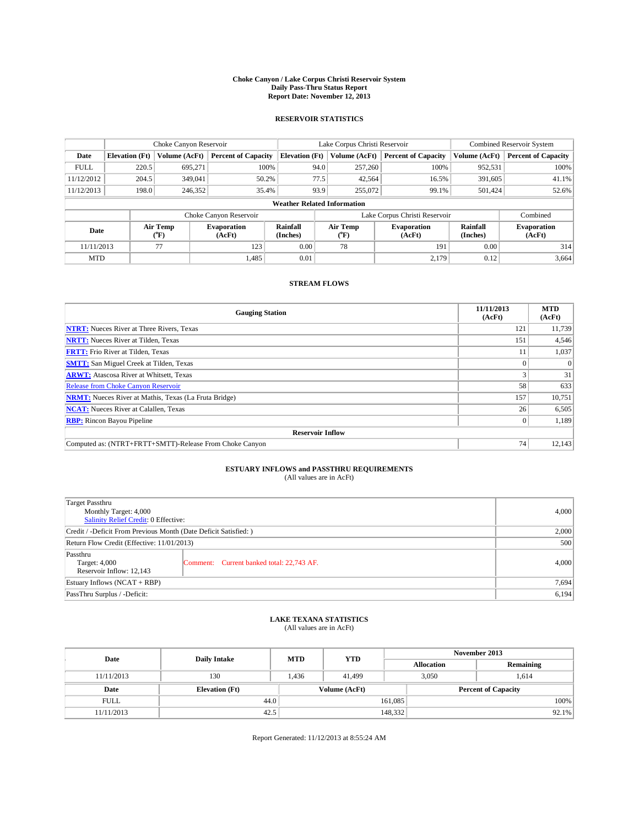#### **Choke Canyon / Lake Corpus Christi Reservoir System Daily Pass-Thru Status Report Report Date: November 12, 2013**

### **RESERVOIR STATISTICS**

|             | Choke Canyon Reservoir |                  |                            |                                    | Lake Corpus Christi Reservoir |                  |                               |                      | Combined Reservoir System    |  |  |
|-------------|------------------------|------------------|----------------------------|------------------------------------|-------------------------------|------------------|-------------------------------|----------------------|------------------------------|--|--|
| Date        | <b>Elevation</b> (Ft)  | Volume (AcFt)    | <b>Percent of Capacity</b> | <b>Elevation</b> (Ft)              |                               | Volume (AcFt)    | <b>Percent of Capacity</b>    | Volume (AcFt)        | <b>Percent of Capacity</b>   |  |  |
| <b>FULL</b> | 220.5                  | 695,271          | 100%                       |                                    | 94.0                          | 257,260          | 100%                          | 952,531              | 100%                         |  |  |
| 11/12/2012  | 204.5                  | 349,041          | 50.2%                      |                                    | 77.5                          | 42,564           | 16.5%                         | 391,605              | 41.1%                        |  |  |
| 11/12/2013  | 198.0                  | 246.352          | 35.4%                      |                                    | 93.9                          | 255,072          | 99.1%                         | 501.424              | 52.6%                        |  |  |
|             |                        |                  |                            | <b>Weather Related Information</b> |                               |                  |                               |                      |                              |  |  |
|             |                        |                  | Choke Canyon Reservoir     |                                    |                               |                  | Lake Corpus Christi Reservoir |                      | Combined                     |  |  |
| Date        |                        | Air Temp<br>("F) | Evaporation<br>(AcFt)      | Rainfall<br>(Inches)               |                               | Air Temp<br>("F) | <b>Evaporation</b><br>(AcFt)  | Rainfall<br>(Inches) | <b>Evaporation</b><br>(AcFt) |  |  |
| 11/11/2013  |                        | 77               | 123                        | 0.00                               |                               | 78               | 191                           | 0.00                 | 314                          |  |  |

### **STREAM FLOWS**

MTD  $|$  1,485 0.01 2,179 0.12 3,664

| <b>Gauging Station</b>                                       | 11/11/2013<br>(AcFt) | <b>MTD</b><br>(AcFt) |  |  |  |
|--------------------------------------------------------------|----------------------|----------------------|--|--|--|
| <b>NTRT:</b> Nueces River at Three Rivers, Texas             | 121                  | 11,739               |  |  |  |
| <b>NRTT:</b> Nueces River at Tilden, Texas                   | 151                  | 4,546                |  |  |  |
| <b>FRTT:</b> Frio River at Tilden, Texas                     |                      | 1,037                |  |  |  |
| <b>SMTT:</b> San Miguel Creek at Tilden, Texas               |                      | $\Omega$             |  |  |  |
| <b>ARWT:</b> Atascosa River at Whitsett, Texas               |                      | 31                   |  |  |  |
| <b>Release from Choke Canyon Reservoir</b>                   | 58                   | 633                  |  |  |  |
| <b>NRMT:</b> Nueces River at Mathis, Texas (La Fruta Bridge) | 157                  | 10,751               |  |  |  |
| <b>NCAT:</b> Nueces River at Calallen, Texas                 | 26                   | 6,505                |  |  |  |
| <b>RBP:</b> Rincon Bayou Pipeline                            | $\Omega$             | 1,189                |  |  |  |
| <b>Reservoir Inflow</b>                                      |                      |                      |  |  |  |
| Computed as: (NTRT+FRTT+SMTT)-Release From Choke Canyon      | 74                   | 12,143               |  |  |  |

## **ESTUARY INFLOWS and PASSTHRU REQUIREMENTS**<br>(All values are in AcFt)

| <b>Target Passthru</b><br>Monthly Target: 4,000<br>Salinity Relief Credit: 0 Effective: |                                           |       |  |  |
|-----------------------------------------------------------------------------------------|-------------------------------------------|-------|--|--|
| Credit / -Deficit From Previous Month (Date Deficit Satisfied: )                        |                                           |       |  |  |
| Return Flow Credit (Effective: 11/01/2013)                                              |                                           |       |  |  |
| Passthru<br>Target: 4,000<br>Reservoir Inflow: 12,143                                   | Comment: Current banked total: 22,743 AF. | 4,000 |  |  |
| Estuary Inflows $(NCAT + RBP)$                                                          |                                           |       |  |  |
| PassThru Surplus / -Deficit:                                                            | 6,194                                     |       |  |  |

## **LAKE TEXANA STATISTICS** (All values are in AcFt)

| Date        | <b>Daily Intake</b>   | <b>MTD</b> | <b>YTD</b>    | November 2013              |       |           |  |
|-------------|-----------------------|------------|---------------|----------------------------|-------|-----------|--|
|             |                       |            |               | <b>Allocation</b>          |       | Remaining |  |
| 11/11/2013  | 130                   | 1.436      | 41.499        |                            | 3,050 | 1.614     |  |
| Date        | <b>Elevation</b> (Ft) |            | Volume (AcFt) | <b>Percent of Capacity</b> |       |           |  |
| <b>FULL</b> | 44.0                  |            |               | 161,085                    |       | 100%      |  |
| 11/11/2013  | 42.5                  |            |               | 148,332                    |       | $92.1\%$  |  |

Report Generated: 11/12/2013 at 8:55:24 AM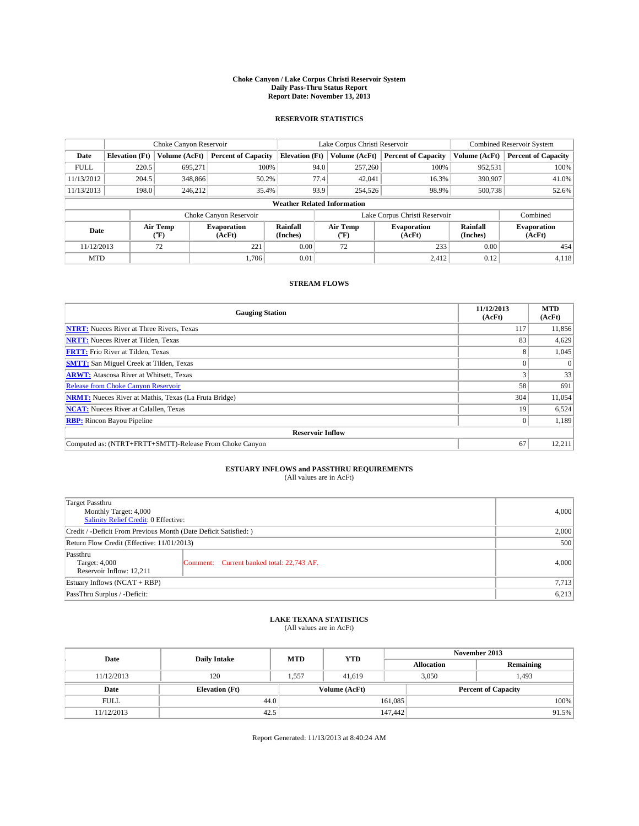#### **Choke Canyon / Lake Corpus Christi Reservoir System Daily Pass-Thru Status Report Report Date: November 13, 2013**

### **RESERVOIR STATISTICS**

|                                    | Choke Canyon Reservoir   |               |                              |                       | Lake Corpus Christi Reservoir             | <b>Combined Reservoir System</b> |                      |                              |  |
|------------------------------------|--------------------------|---------------|------------------------------|-----------------------|-------------------------------------------|----------------------------------|----------------------|------------------------------|--|
| Date                               | <b>Elevation</b> (Ft)    | Volume (AcFt) | <b>Percent of Capacity</b>   | <b>Elevation (Ft)</b> | Volume (AcFt)                             | <b>Percent of Capacity</b>       | Volume (AcFt)        | <b>Percent of Capacity</b>   |  |
| <b>FULL</b>                        | 220.5                    | 695.271       | 100%                         | 94.0                  | 257,260                                   | 100%                             | 952,531              | 100%                         |  |
| 11/13/2012                         | 204.5                    | 348,866       | 50.2%                        | 77.4                  | 42,041                                    |                                  | 16.3%<br>390,907     |                              |  |
| 11/13/2013                         | 198.0                    | 246.212       | 35.4%                        | 93.9                  | 254,526                                   | 98.9%                            | 500,738              | 52.6%                        |  |
| <b>Weather Related Information</b> |                          |               |                              |                       |                                           |                                  |                      |                              |  |
|                                    |                          |               | Choke Canyon Reservoir       |                       | Lake Corpus Christi Reservoir<br>Combined |                                  |                      |                              |  |
|                                    | Air Temp<br>Date<br>(°F) |               | <b>Evaporation</b><br>(AcFt) | Rainfall<br>(Inches)  | Air Temp<br>("F)                          | <b>Evaporation</b><br>(AcFt)     | Rainfall<br>(Inches) | <b>Evaporation</b><br>(AcFt) |  |
| 11/12/2013                         |                          | 72            | 221                          | 0.00                  | 72                                        | 233<br>0.00                      |                      | 454                          |  |

### **STREAM FLOWS**

MTD  $|$  1,706 0.01 2,412 0.12 4,118

| <b>Gauging Station</b>                                       | 11/12/2013<br>(AcFt) | <b>MTD</b><br>(AcFt) |  |  |  |  |
|--------------------------------------------------------------|----------------------|----------------------|--|--|--|--|
| <b>NTRT:</b> Nueces River at Three Rivers, Texas             | 117                  | 11,856               |  |  |  |  |
| <b>NRTT:</b> Nueces River at Tilden, Texas                   | 83                   | 4,629                |  |  |  |  |
| <b>FRTT:</b> Frio River at Tilden, Texas                     | 8                    | 1,045                |  |  |  |  |
| <b>SMTT:</b> San Miguel Creek at Tilden, Texas               |                      | $\Omega$             |  |  |  |  |
| <b>ARWT:</b> Atascosa River at Whitsett, Texas               |                      | 33                   |  |  |  |  |
| <b>Release from Choke Canyon Reservoir</b>                   | 58                   | 691                  |  |  |  |  |
| <b>NRMT:</b> Nueces River at Mathis, Texas (La Fruta Bridge) | 304                  | 11,054               |  |  |  |  |
| <b>NCAT:</b> Nueces River at Calallen, Texas                 | 19                   | 6,524                |  |  |  |  |
| <b>RBP:</b> Rincon Bayou Pipeline                            | $\Omega$             | 1,189                |  |  |  |  |
| <b>Reservoir Inflow</b>                                      |                      |                      |  |  |  |  |
| Computed as: (NTRT+FRTT+SMTT)-Release From Choke Canyon      | 67                   | 12,211               |  |  |  |  |

## **ESTUARY INFLOWS and PASSTHRU REQUIREMENTS**<br>(All values are in AcFt)

| Target Passthru<br>Monthly Target: 4,000<br>Salinity Relief Credit: 0 Effective: | 4,000                                     |       |  |  |
|----------------------------------------------------------------------------------|-------------------------------------------|-------|--|--|
| Credit / -Deficit From Previous Month (Date Deficit Satisfied: )                 |                                           |       |  |  |
| Return Flow Credit (Effective: 11/01/2013)                                       |                                           |       |  |  |
| Passthru<br>Target: 4,000<br>Reservoir Inflow: 12.211                            | Comment: Current banked total: 22,743 AF. | 4,000 |  |  |
| Estuary Inflows (NCAT + RBP)                                                     |                                           |       |  |  |
| PassThru Surplus / -Deficit:                                                     |                                           |       |  |  |

## **LAKE TEXANA STATISTICS** (All values are in AcFt)

| Date        | <b>Daily Intake</b>   | <b>MTD</b> | <b>YTD</b>    | November 2013     |                            |           |  |
|-------------|-----------------------|------------|---------------|-------------------|----------------------------|-----------|--|
|             |                       |            |               | <b>Allocation</b> |                            | Remaining |  |
| 11/12/2013  | 120                   | 1,557      | 41.619        |                   | 3,050<br>1,493             |           |  |
| Date        | <b>Elevation</b> (Ft) |            | Volume (AcFt) |                   | <b>Percent of Capacity</b> |           |  |
| <b>FULL</b> | 44.0                  |            |               | 161,085           |                            | 100%      |  |
| 11/12/2013  | 42.5                  |            |               | 147,442           |                            | 91.5%     |  |

Report Generated: 11/13/2013 at 8:40:24 AM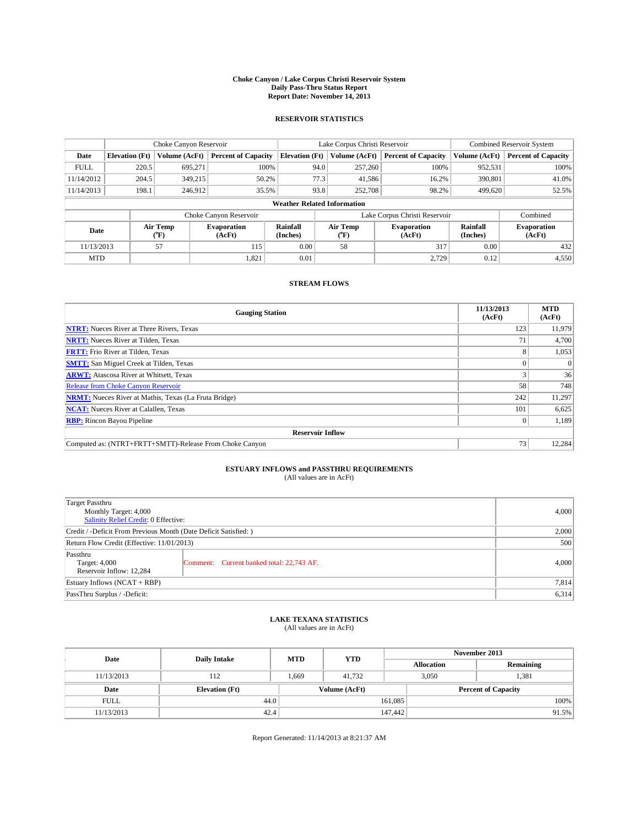#### **Choke Canyon / Lake Corpus Christi Reservoir System Daily Pass-Thru Status Report Report Date: November 14, 2013**

### **RESERVOIR STATISTICS**

|             |                                    | Choke Canyon Reservoir                           |                            |                       | Lake Corpus Christi Reservoir | Combined Reservoir System     |                      |                              |  |
|-------------|------------------------------------|--------------------------------------------------|----------------------------|-----------------------|-------------------------------|-------------------------------|----------------------|------------------------------|--|
| Date        | <b>Elevation</b> (Ft)              | <b>Volume (AcFt)</b>                             | <b>Percent of Capacity</b> | <b>Elevation (Ft)</b> | Volume (AcFt)                 | <b>Percent of Capacity</b>    | Volume (AcFt)        | <b>Percent of Capacity</b>   |  |
| <b>FULL</b> | 220.5                              | 695.271                                          | 100%                       | 94.0                  | 257,260                       | 100%                          | 952,531              | 100%                         |  |
| 11/14/2012  | 204.5                              | 349,215                                          | 50.2%                      | 77.3                  | 41,586                        | 16.2%                         | 390,801              | 41.0%                        |  |
| 11/14/2013  | 198.1                              | 246,912                                          | 35.5%                      | 93.8                  | 252,708                       | 98.2%                         | 499.620              | 52.5%                        |  |
|             | <b>Weather Related Information</b> |                                                  |                            |                       |                               |                               |                      |                              |  |
|             |                                    |                                                  | Choke Canyon Reservoir     |                       |                               | Lake Corpus Christi Reservoir |                      | Combined                     |  |
| Date        |                                    | Air Temp<br><b>Evaporation</b><br>(°F)<br>(AcFt) |                            | Rainfall<br>(Inches)  | Air Temp<br>(°F)              | <b>Evaporation</b><br>(AcFt)  | Rainfall<br>(Inches) | <b>Evaporation</b><br>(AcFt) |  |
| 11/13/2013  |                                    | 57                                               | 115                        | 0.00                  | 58                            | 317                           | 0.00                 | 432                          |  |
| <b>MTD</b>  |                                    |                                                  | 1,821                      | 0.01                  |                               | 2,729                         | 0.12                 | 4,550                        |  |

### **STREAM FLOWS**

| <b>Gauging Station</b>                                       | 11/13/2013<br>(AcFt) | <b>MTD</b><br>(AcFt) |  |  |  |  |
|--------------------------------------------------------------|----------------------|----------------------|--|--|--|--|
| <b>NTRT:</b> Nueces River at Three Rivers, Texas             | 123                  | 11,979               |  |  |  |  |
| <b>NRTT:</b> Nueces River at Tilden, Texas                   | 7 <sup>1</sup>       | 4,700                |  |  |  |  |
| <b>FRTT:</b> Frio River at Tilden, Texas                     | 8                    | 1,053                |  |  |  |  |
| <b>SMTT:</b> San Miguel Creek at Tilden, Texas               |                      | $\Omega$             |  |  |  |  |
| <b>ARWT:</b> Atascosa River at Whitsett, Texas               |                      | 36                   |  |  |  |  |
| <b>Release from Choke Canyon Reservoir</b>                   | 58                   | 748                  |  |  |  |  |
| <b>NRMT:</b> Nueces River at Mathis, Texas (La Fruta Bridge) | 242                  | 11,297               |  |  |  |  |
| <b>NCAT:</b> Nueces River at Calallen, Texas                 | 101                  | 6,625                |  |  |  |  |
| <b>RBP:</b> Rincon Bayou Pipeline                            |                      | 1,189                |  |  |  |  |
| <b>Reservoir Inflow</b>                                      |                      |                      |  |  |  |  |
| Computed as: (NTRT+FRTT+SMTT)-Release From Choke Canyon      | 73                   | 12,284               |  |  |  |  |

# **ESTUARY INFLOWS and PASSTHRU REQUIREMENTS**<br>(All values are in AcFt)

| <b>Target Passthru</b><br>Monthly Target: 4,000<br>Salinity Relief Credit: 0 Effective: |                                           |       |  |  |
|-----------------------------------------------------------------------------------------|-------------------------------------------|-------|--|--|
| Credit / -Deficit From Previous Month (Date Deficit Satisfied: )                        |                                           |       |  |  |
| Return Flow Credit (Effective: 11/01/2013)                                              |                                           |       |  |  |
| Passthru<br>Target: 4,000<br>Reservoir Inflow: 12.284                                   | Comment: Current banked total: 22,743 AF. | 4,000 |  |  |
| Estuary Inflows $(NCAT + RBP)$                                                          |                                           |       |  |  |
| PassThru Surplus / -Deficit:                                                            |                                           |       |  |  |

## **LAKE TEXANA STATISTICS** (All values are in AcFt)

| Date        | <b>Daily Intake</b>   | <b>MTD</b> | <b>YTD</b>    | November 2013     |                            |           |  |
|-------------|-----------------------|------------|---------------|-------------------|----------------------------|-----------|--|
|             |                       |            |               | <b>Allocation</b> |                            | Remaining |  |
| 11/13/2013  | 112                   | 1,669      | 41,732        |                   | 3,050<br>1,381             |           |  |
| Date        | <b>Elevation</b> (Ft) |            | Volume (AcFt) |                   | <b>Percent of Capacity</b> |           |  |
| <b>FULL</b> | 44.0                  |            |               | 161,085           |                            | 100%      |  |
| 11/13/2013  | 42.4                  |            |               | 147,442           |                            | 91.5%     |  |

Report Generated: 11/14/2013 at 8:21:37 AM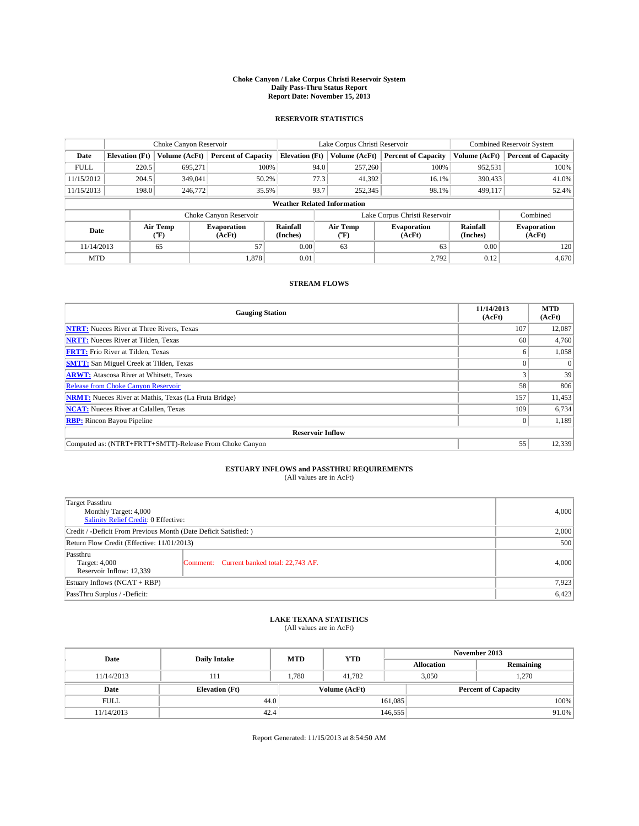#### **Choke Canyon / Lake Corpus Christi Reservoir System Daily Pass-Thru Status Report Report Date: November 15, 2013**

### **RESERVOIR STATISTICS**

|             |                       | Choke Canyon Reservoir |                              |                                    | Lake Corpus Christi Reservoir                    | <b>Combined Reservoir System</b> |                      |                              |  |
|-------------|-----------------------|------------------------|------------------------------|------------------------------------|--------------------------------------------------|----------------------------------|----------------------|------------------------------|--|
| Date        | <b>Elevation</b> (Ft) | <b>Volume (AcFt)</b>   | <b>Percent of Capacity</b>   | <b>Elevation (Ft)</b>              | Volume (AcFt)                                    | <b>Percent of Capacity</b>       | Volume (AcFt)        | <b>Percent of Capacity</b>   |  |
| <b>FULL</b> | 220.5                 | 695,271                | 100%                         | 94.0                               | 257,260                                          | 100%                             | 952,531              | 100%                         |  |
| 11/15/2012  | 204.5                 | 349,041                | 50.2%                        | 77.3                               | 41,392                                           | 390,433<br>16.1%                 |                      | 41.0%                        |  |
| 11/15/2013  | 198.0                 | 246,772                | 35.5%                        | 93.7                               | 252,345                                          | 98.1%                            | 499,117              | 52.4%                        |  |
|             |                       |                        |                              | <b>Weather Related Information</b> |                                                  |                                  |                      |                              |  |
|             |                       |                        | Choke Canyon Reservoir       |                                    | Lake Corpus Christi Reservoir<br>Combined        |                                  |                      |                              |  |
| Date        |                       | Air Temp<br>(°F)       | <b>Evaporation</b><br>(AcFt) | Rainfall<br>(Inches)               | Air Temp<br><b>Evaporation</b><br>(AcFt)<br>("F) |                                  | Rainfall<br>(Inches) | <b>Evaporation</b><br>(AcFt) |  |
| 11/14/2013  |                       | 65                     | 57                           | 0.00                               | 63                                               | 63                               | 0.00                 | 120                          |  |

### **STREAM FLOWS**

MTD  $|$  1,878 0.01 2,792 0.12 4,670

| <b>Gauging Station</b>                                       | 11/14/2013<br>(AcFt) | <b>MTD</b><br>(AcFt) |  |  |  |  |
|--------------------------------------------------------------|----------------------|----------------------|--|--|--|--|
| <b>NTRT:</b> Nueces River at Three Rivers, Texas             | 107                  | 12,087               |  |  |  |  |
| <b>NRTT:</b> Nueces River at Tilden, Texas                   | 60                   | 4,760                |  |  |  |  |
| <b>FRTT:</b> Frio River at Tilden, Texas                     | 6                    | 1,058                |  |  |  |  |
| <b>SMTT:</b> San Miguel Creek at Tilden, Texas               |                      | $\Omega$             |  |  |  |  |
| <b>ARWT:</b> Atascosa River at Whitsett, Texas               |                      | 39                   |  |  |  |  |
| <b>Release from Choke Canyon Reservoir</b>                   | 58                   | 806                  |  |  |  |  |
| <b>NRMT:</b> Nueces River at Mathis, Texas (La Fruta Bridge) | 157                  | 11,453               |  |  |  |  |
| <b>NCAT:</b> Nueces River at Calallen, Texas                 | 109                  | 6,734                |  |  |  |  |
| <b>RBP:</b> Rincon Bayou Pipeline                            | $\overline{0}$       | 1,189                |  |  |  |  |
| <b>Reservoir Inflow</b>                                      |                      |                      |  |  |  |  |
| Computed as: (NTRT+FRTT+SMTT)-Release From Choke Canyon      | 55                   | 12,339               |  |  |  |  |

## **ESTUARY INFLOWS and PASSTHRU REQUIREMENTS**<br>(All values are in AcFt)

| Target Passthru<br>Monthly Target: 4,000<br>Salinity Relief Credit: 0 Effective: | 4,000                                     |       |  |  |
|----------------------------------------------------------------------------------|-------------------------------------------|-------|--|--|
| Credit / -Deficit From Previous Month (Date Deficit Satisfied: )                 |                                           |       |  |  |
| Return Flow Credit (Effective: 11/01/2013)                                       |                                           |       |  |  |
| Passthru<br>Target: 4,000<br>Reservoir Inflow: 12,339                            | Comment: Current banked total: 22,743 AF. | 4,000 |  |  |
| Estuary Inflows $(NCAT + RBP)$                                                   | 7,923                                     |       |  |  |
| PassThru Surplus / -Deficit:                                                     | 6,423                                     |       |  |  |

## **LAKE TEXANA STATISTICS** (All values are in AcFt)

| Date        | <b>Daily Intake</b>   | <b>MTD</b> | <b>YTD</b>    | November 2013     |                            |           |  |
|-------------|-----------------------|------------|---------------|-------------------|----------------------------|-----------|--|
|             |                       |            |               | <b>Allocation</b> |                            | Remaining |  |
| 11/14/2013  | 111                   | 1,780      | 41,782        |                   | 3,050<br>1,270             |           |  |
| Date        | <b>Elevation</b> (Ft) |            | Volume (AcFt) |                   | <b>Percent of Capacity</b> |           |  |
| <b>FULL</b> | 44.0                  |            |               | 161.085           |                            | 100%      |  |
| 11/14/2013  | 42.4                  |            |               | 146,555           |                            | 91.0%     |  |

Report Generated: 11/15/2013 at 8:54:50 AM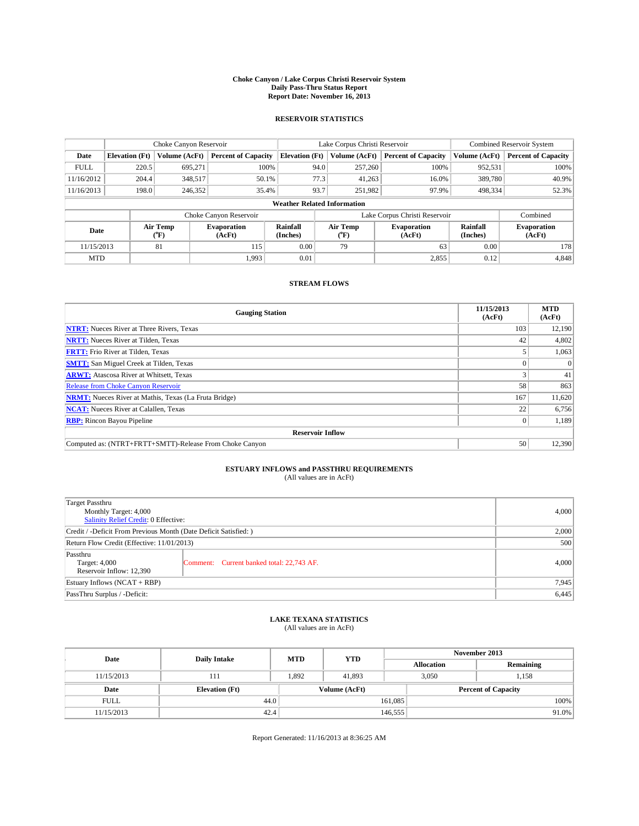#### **Choke Canyon / Lake Corpus Christi Reservoir System Daily Pass-Thru Status Report Report Date: November 16, 2013**

### **RESERVOIR STATISTICS**

|             |                       | Choke Canyon Reservoir |                              |                                    | Lake Corpus Christi Reservoir | Combined Reservoir System     |                      |                              |
|-------------|-----------------------|------------------------|------------------------------|------------------------------------|-------------------------------|-------------------------------|----------------------|------------------------------|
| Date        | <b>Elevation</b> (Ft) | <b>Volume (AcFt)</b>   | <b>Percent of Capacity</b>   | <b>Elevation (Ft)</b>              | Volume (AcFt)                 | <b>Percent of Capacity</b>    | Volume (AcFt)        | <b>Percent of Capacity</b>   |
| <b>FULL</b> | 220.5                 | 695.271                | 100%                         | 94.0                               | 257,260                       | 100%                          | 952,531              | 100%                         |
| 11/16/2012  | 204.4                 | 348,517                | 50.1%                        | 77.3                               | 41,263                        | 16.0%                         | 389,780              | 40.9%                        |
| 11/16/2013  | 198.0                 | 246,352                | 35.4%                        | 93.7                               | 251,982                       | 97.9%                         | 498,334              | 52.3%                        |
|             |                       |                        |                              | <b>Weather Related Information</b> |                               |                               |                      |                              |
|             |                       |                        | Choke Canyon Reservoir       |                                    |                               | Lake Corpus Christi Reservoir |                      | Combined                     |
| Date        |                       | Air Temp<br>(°F)       | <b>Evaporation</b><br>(AcFt) | Rainfall<br>(Inches)               | Air Temp<br>(°F)              | <b>Evaporation</b><br>(AcFt)  | Rainfall<br>(Inches) | <b>Evaporation</b><br>(AcFt) |
| 11/15/2013  |                       | 81                     | 115                          | 0.00                               | 79                            | 63                            | 0.00                 | 178                          |
| <b>MTD</b>  |                       |                        | 1.993                        | 0.01                               |                               | 2,855                         | 0.12                 | 4,848                        |

### **STREAM FLOWS**

| <b>Gauging Station</b>                                       | 11/15/2013<br>(AcFt) | <b>MTD</b><br>(AcFt) |  |  |  |  |
|--------------------------------------------------------------|----------------------|----------------------|--|--|--|--|
| <b>NTRT:</b> Nueces River at Three Rivers, Texas             | 103                  | 12,190               |  |  |  |  |
| <b>NRTT:</b> Nueces River at Tilden, Texas                   | 42                   | 4,802                |  |  |  |  |
| <b>FRTT:</b> Frio River at Tilden, Texas                     |                      | 1,063                |  |  |  |  |
| <b>SMTT:</b> San Miguel Creek at Tilden, Texas               |                      | $\Omega$             |  |  |  |  |
| <b>ARWT:</b> Atascosa River at Whitsett, Texas               |                      | 41                   |  |  |  |  |
| <b>Release from Choke Canyon Reservoir</b>                   | 58                   | 863                  |  |  |  |  |
| <b>NRMT:</b> Nueces River at Mathis, Texas (La Fruta Bridge) | 167                  | 11,620               |  |  |  |  |
| <b>NCAT:</b> Nueces River at Calallen, Texas                 | 22                   | 6,756                |  |  |  |  |
| <b>RBP:</b> Rincon Bayou Pipeline                            | $\overline{0}$       | 1,189                |  |  |  |  |
| <b>Reservoir Inflow</b>                                      |                      |                      |  |  |  |  |
| Computed as: (NTRT+FRTT+SMTT)-Release From Choke Canyon      | 50                   | 12,390               |  |  |  |  |

# **ESTUARY INFLOWS and PASSTHRU REQUIREMENTS**<br>(All values are in AcFt)

| Target Passthru<br>Monthly Target: 4,000<br>Salinity Relief Credit: 0 Effective: | 4,000                                     |       |  |  |
|----------------------------------------------------------------------------------|-------------------------------------------|-------|--|--|
| Credit / -Deficit From Previous Month (Date Deficit Satisfied: )                 |                                           |       |  |  |
| Return Flow Credit (Effective: 11/01/2013)                                       |                                           |       |  |  |
| Passthru<br>Target: 4,000<br>Reservoir Inflow: 12,390                            | Comment: Current banked total: 22,743 AF. | 4,000 |  |  |
| Estuary Inflows $(NCAT + RBP)$                                                   | 7,945                                     |       |  |  |
| PassThru Surplus / -Deficit:                                                     | 6,445                                     |       |  |  |

## **LAKE TEXANA STATISTICS** (All values are in AcFt)

| Date        | <b>Daily Intake</b>   | <b>MTD</b> | <b>YTD</b>    | November 2013     |                            |           |  |
|-------------|-----------------------|------------|---------------|-------------------|----------------------------|-----------|--|
|             |                       |            |               | <b>Allocation</b> |                            | Remaining |  |
| 11/15/2013  | 111                   | 1.892      | 41.893        |                   | 3,050<br>1,158             |           |  |
| Date        | <b>Elevation</b> (Ft) |            | Volume (AcFt) |                   | <b>Percent of Capacity</b> |           |  |
| <b>FULL</b> | 44.0                  |            |               | 161,085           |                            | 100%      |  |
| 11/15/2013  | 42.4                  |            |               | 146,555           |                            | $91.0\%$  |  |

Report Generated: 11/16/2013 at 8:36:25 AM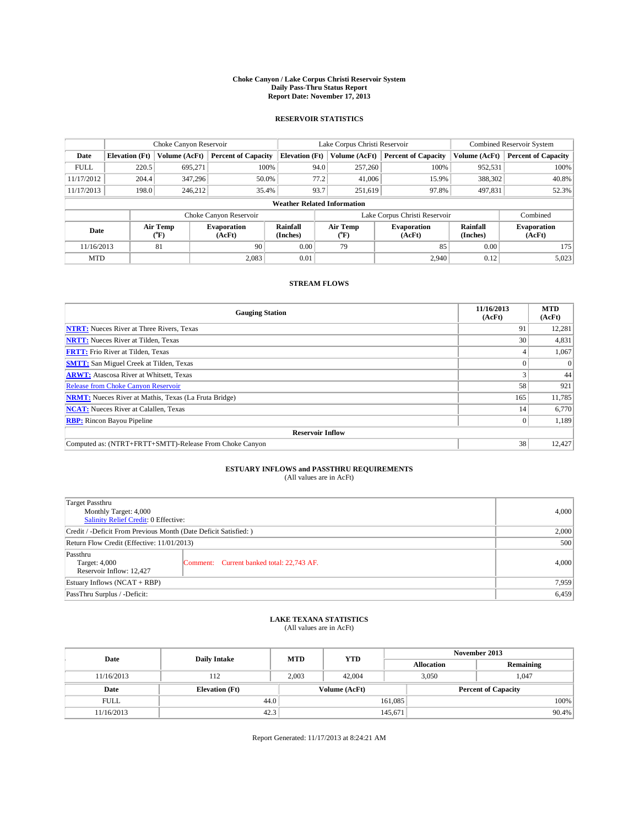#### **Choke Canyon / Lake Corpus Christi Reservoir System Daily Pass-Thru Status Report Report Date: November 17, 2013**

### **RESERVOIR STATISTICS**

|             |                       | Choke Canyon Reservoir |                            |                                    | Lake Corpus Christi Reservoir | <b>Combined Reservoir System</b> |                      |                              |
|-------------|-----------------------|------------------------|----------------------------|------------------------------------|-------------------------------|----------------------------------|----------------------|------------------------------|
| Date        | <b>Elevation</b> (Ft) | Volume (AcFt)          | <b>Percent of Capacity</b> | <b>Elevation (Ft)</b>              | Volume (AcFt)                 | <b>Percent of Capacity</b>       | Volume (AcFt)        | <b>Percent of Capacity</b>   |
| <b>FULL</b> | 220.5                 | 695.271                | 100%                       | 94.0                               | 257,260                       | 100%                             | 952,531              | 100%                         |
| 11/17/2012  | 204.4                 | 347.296                | 50.0%                      | 77.2                               | 41,006                        | 15.9%                            | 388,302              | 40.8%                        |
| 11/17/2013  | 198.0                 | 246,212                |                            | 93.7<br>35.4%<br>251,619           |                               | 97.8%                            | 497,831              | 52.3%                        |
|             |                       |                        |                            | <b>Weather Related Information</b> |                               |                                  |                      |                              |
|             |                       |                        | Choke Canyon Reservoir     |                                    | Lake Corpus Christi Reservoir |                                  |                      |                              |
| Date        |                       | Air Temp<br>(°F)       | Evaporation<br>(AcFt)      | Rainfall<br>(Inches)               | Air Temp<br>("F)              | <b>Evaporation</b><br>(AcFt)     | Rainfall<br>(Inches) | <b>Evaporation</b><br>(AcFt) |
| 11/16/2013  |                       | 81                     | 90                         | 0.00                               | 79                            | 85                               | 0.00                 | 175                          |

### **STREAM FLOWS**

MTD  $|$  2,083 0.01 2,000 2,940 0.12 5,023

| <b>Gauging Station</b>                                       | 11/16/2013<br>(AcFt) | <b>MTD</b><br>(AcFt) |  |  |  |  |
|--------------------------------------------------------------|----------------------|----------------------|--|--|--|--|
| <b>NTRT:</b> Nueces River at Three Rivers, Texas             | 91                   | 12,281               |  |  |  |  |
| <b>NRTT:</b> Nueces River at Tilden, Texas                   | 30                   | 4,831                |  |  |  |  |
| <b>FRTT:</b> Frio River at Tilden, Texas                     |                      | 1,067                |  |  |  |  |
| <b>SMTT:</b> San Miguel Creek at Tilden, Texas               |                      | $\Omega$             |  |  |  |  |
| <b>ARWT:</b> Atascosa River at Whitsett, Texas               |                      | 44                   |  |  |  |  |
| <b>Release from Choke Canyon Reservoir</b>                   | 58                   | 921                  |  |  |  |  |
| <b>NRMT:</b> Nueces River at Mathis, Texas (La Fruta Bridge) | 165                  | 11,785               |  |  |  |  |
| <b>NCAT:</b> Nueces River at Calallen, Texas                 | 14                   | 6,770                |  |  |  |  |
| <b>RBP:</b> Rincon Bayou Pipeline                            | $\Omega$             | 1,189                |  |  |  |  |
| <b>Reservoir Inflow</b>                                      |                      |                      |  |  |  |  |
| Computed as: (NTRT+FRTT+SMTT)-Release From Choke Canyon      | 38                   | 12,427               |  |  |  |  |

## **ESTUARY INFLOWS and PASSTHRU REQUIREMENTS**<br>(All values are in AcFt)

| <b>Target Passthru</b><br>Monthly Target: 4,000<br>Salinity Relief Credit: 0 Effective: | 4,000                                     |       |  |  |
|-----------------------------------------------------------------------------------------|-------------------------------------------|-------|--|--|
| Credit / -Deficit From Previous Month (Date Deficit Satisfied: )                        |                                           |       |  |  |
| Return Flow Credit (Effective: 11/01/2013)                                              |                                           |       |  |  |
| Passthru<br>Target: 4,000<br>Reservoir Inflow: 12,427                                   | Comment: Current banked total: 22,743 AF. | 4,000 |  |  |
| Estuary Inflows $(NCAT + RBP)$                                                          |                                           |       |  |  |
| PassThru Surplus / -Deficit:                                                            | 6,459                                     |       |  |  |

## **LAKE TEXANA STATISTICS** (All values are in AcFt)

| Date        | <b>Daily Intake</b>   | <b>MTD</b> | <b>YTD</b>    | November 2013     |                            |           |  |
|-------------|-----------------------|------------|---------------|-------------------|----------------------------|-----------|--|
|             |                       |            |               | <b>Allocation</b> |                            | Remaining |  |
| 11/16/2013  | 112                   | 2,003      | 42,004        |                   | 3,050<br>1,047             |           |  |
| Date        | <b>Elevation</b> (Ft) |            | Volume (AcFt) |                   | <b>Percent of Capacity</b> |           |  |
| <b>FULL</b> | 44.0                  |            |               | 161,085           |                            | 100%      |  |
| 11/16/2013  | 42.3                  |            |               | 145,671           |                            | 90.4%     |  |

Report Generated: 11/17/2013 at 8:24:21 AM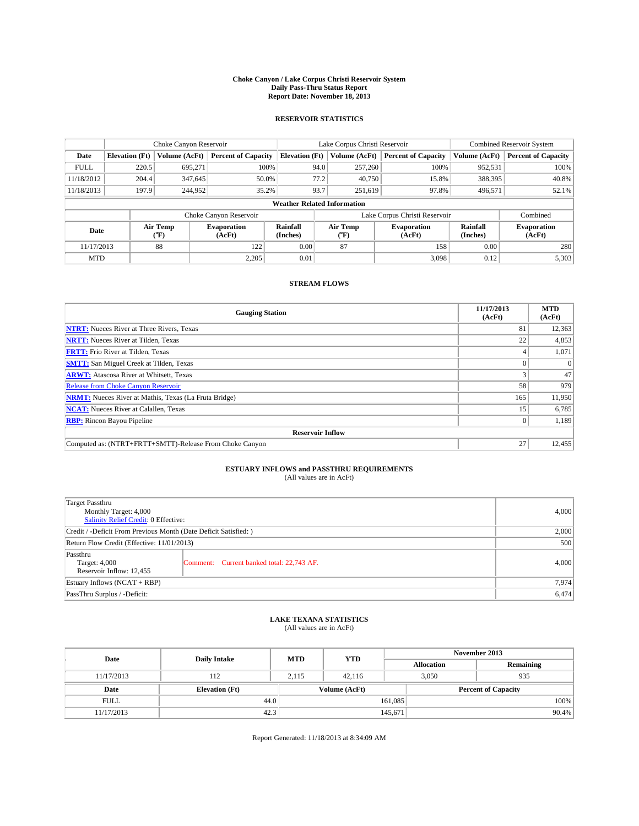#### **Choke Canyon / Lake Corpus Christi Reservoir System Daily Pass-Thru Status Report Report Date: November 18, 2013**

### **RESERVOIR STATISTICS**

|             |                       | Choke Canyon Reservoir |                              |                                    | Lake Corpus Christi Reservoir | Combined Reservoir System     |                      |                              |
|-------------|-----------------------|------------------------|------------------------------|------------------------------------|-------------------------------|-------------------------------|----------------------|------------------------------|
| Date        | <b>Elevation</b> (Ft) | <b>Volume (AcFt)</b>   | <b>Percent of Capacity</b>   | <b>Elevation (Ft)</b>              | Volume (AcFt)                 | <b>Percent of Capacity</b>    | Volume (AcFt)        | <b>Percent of Capacity</b>   |
| <b>FULL</b> | 220.5                 | 695.271                | 100%                         | 94.0                               | 257,260                       | 100%                          | 952,531              | 100%                         |
| 11/18/2012  | 204.4                 | 347,645                | 50.0%                        | 77.2                               | 40,750                        | 15.8%                         | 388,395              | 40.8%                        |
| 11/18/2013  | 197.9                 | 244,952                | 35.2%                        | 93.7                               | 251.619                       | 97.8%                         | 496.571              | 52.1%                        |
|             |                       |                        |                              | <b>Weather Related Information</b> |                               |                               |                      |                              |
|             |                       |                        | Choke Canyon Reservoir       |                                    |                               | Lake Corpus Christi Reservoir |                      | Combined                     |
| Date        |                       | Air Temp<br>(°F)       | <b>Evaporation</b><br>(AcFt) | Rainfall<br>(Inches)               | Air Temp<br>(°F)              | <b>Evaporation</b><br>(AcFt)  | Rainfall<br>(Inches) | <b>Evaporation</b><br>(AcFt) |
| 11/17/2013  |                       | 88                     | 122                          | 0.00                               | 87                            | 158                           | 0.00                 | 280                          |
| <b>MTD</b>  |                       |                        | 2.205                        | 0.01                               |                               | 3,098                         | 0.12                 | 5,303                        |

### **STREAM FLOWS**

| <b>Gauging Station</b>                                       | 11/17/2013<br>(AcFt) | <b>MTD</b><br>(AcFt) |  |  |  |  |
|--------------------------------------------------------------|----------------------|----------------------|--|--|--|--|
| <b>NTRT:</b> Nueces River at Three Rivers, Texas             | 81                   | 12,363               |  |  |  |  |
| <b>NRTT:</b> Nueces River at Tilden, Texas                   | 22                   | 4,853                |  |  |  |  |
| <b>FRTT:</b> Frio River at Tilden, Texas                     |                      | 1,071                |  |  |  |  |
| <b>SMTT:</b> San Miguel Creek at Tilden, Texas               |                      | $\Omega$             |  |  |  |  |
| <b>ARWT:</b> Atascosa River at Whitsett, Texas               |                      | 47                   |  |  |  |  |
| <b>Release from Choke Canyon Reservoir</b>                   | 58                   | 979                  |  |  |  |  |
| <b>NRMT:</b> Nueces River at Mathis, Texas (La Fruta Bridge) | 165                  | 11,950               |  |  |  |  |
| <b>NCAT:</b> Nueces River at Calallen, Texas                 | 15                   | 6,785                |  |  |  |  |
| <b>RBP:</b> Rincon Bayou Pipeline                            | $\Omega$             | 1,189                |  |  |  |  |
| <b>Reservoir Inflow</b>                                      |                      |                      |  |  |  |  |
| Computed as: (NTRT+FRTT+SMTT)-Release From Choke Canyon      | 27                   | 12,455               |  |  |  |  |

# **ESTUARY INFLOWS and PASSTHRU REQUIREMENTS**<br>(All values are in AcFt)

| <b>Target Passthru</b><br>Monthly Target: 4,000<br>Salinity Relief Credit: 0 Effective: | 4,000                                     |       |  |  |
|-----------------------------------------------------------------------------------------|-------------------------------------------|-------|--|--|
| Credit / -Deficit From Previous Month (Date Deficit Satisfied: )                        |                                           |       |  |  |
| Return Flow Credit (Effective: 11/01/2013)                                              | 500                                       |       |  |  |
| Passthru<br>Target: 4,000<br>Reservoir Inflow: 12,455                                   | Comment: Current banked total: 22,743 AF. | 4,000 |  |  |
| Estuary Inflows $(NCAT + RBP)$                                                          | 7,974                                     |       |  |  |
| PassThru Surplus / -Deficit:                                                            | 6,474                                     |       |  |  |

## **LAKE TEXANA STATISTICS** (All values are in AcFt)

| Date        | <b>Daily Intake</b>   | <b>MTD</b> | <b>YTD</b>    | November 2013     |                            |           |  |
|-------------|-----------------------|------------|---------------|-------------------|----------------------------|-----------|--|
|             |                       |            |               | <b>Allocation</b> |                            | Remaining |  |
| 11/17/2013  | 112                   | 2,115      | 42,116        |                   | 3,050<br>935               |           |  |
| Date        | <b>Elevation</b> (Ft) |            | Volume (AcFt) |                   | <b>Percent of Capacity</b> |           |  |
| <b>FULL</b> | 44.0                  |            |               | 161.085           |                            | 100%      |  |
| 11/17/2013  | 42.3                  |            |               | 145,671           |                            | 90.4%     |  |

Report Generated: 11/18/2013 at 8:34:09 AM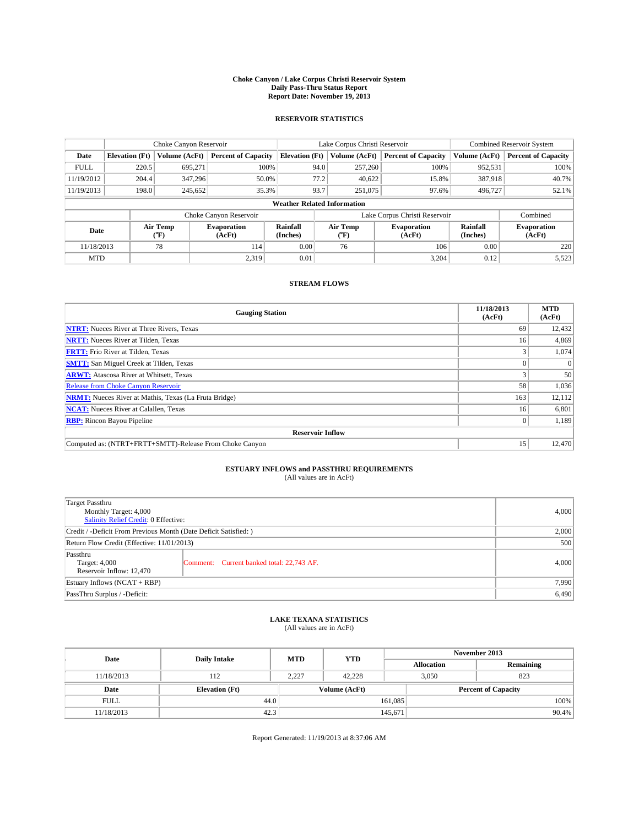#### **Choke Canyon / Lake Corpus Christi Reservoir System Daily Pass-Thru Status Report Report Date: November 19, 2013**

### **RESERVOIR STATISTICS**

|                          | Choke Canyon Reservoir             |                      |                              |                       | Lake Corpus Christi Reservoir | Combined Reservoir System     |               |                              |  |
|--------------------------|------------------------------------|----------------------|------------------------------|-----------------------|-------------------------------|-------------------------------|---------------|------------------------------|--|
| Date                     | <b>Elevation</b> (Ft)              | <b>Volume (AcFt)</b> | <b>Percent of Capacity</b>   | <b>Elevation (Ft)</b> | Volume (AcFt)                 | <b>Percent of Capacity</b>    | Volume (AcFt) | <b>Percent of Capacity</b>   |  |
| <b>FULL</b>              | 220.5                              | 695.271              | 100%                         | 94.0                  | 257,260                       | 100%                          | 952,531       | 100%                         |  |
| 11/19/2012               | 204.4                              | 347,296              | 50.0%                        | 77.2                  | 40,622                        | 15.8%                         | 387,918       | 40.7%                        |  |
| 11/19/2013               | 198.0                              | 245,652              | 35.3%                        | 93.7                  | 251,075                       | 97.6%                         | 496,727       | 52.1%                        |  |
|                          | <b>Weather Related Information</b> |                      |                              |                       |                               |                               |               |                              |  |
|                          |                                    |                      | Choke Canyon Reservoir       |                       |                               | Lake Corpus Christi Reservoir |               | Combined                     |  |
| Air Temp<br>Date<br>(°F) |                                    |                      | <b>Evaporation</b><br>(AcFt) | Rainfall<br>(Inches)  | Air Temp<br>(°F)              | <b>Evaporation</b><br>(AcFt)  |               | <b>Evaporation</b><br>(AcFt) |  |
| 11/18/2013               |                                    | 78                   | 114                          | 0.00                  | 76                            | 106                           | 0.00          | 220                          |  |
| <b>MTD</b>               |                                    |                      | 2.319                        | 0.01                  |                               | 3,204                         | 0.12          | 5,523                        |  |

### **STREAM FLOWS**

| <b>Gauging Station</b>                                       | 11/18/2013<br>(AcFt) | <b>MTD</b><br>(AcFt) |  |  |  |
|--------------------------------------------------------------|----------------------|----------------------|--|--|--|
| <b>NTRT:</b> Nueces River at Three Rivers, Texas             | 69                   | 12,432               |  |  |  |
| <b>NRTT:</b> Nueces River at Tilden, Texas                   | 16                   | 4,869                |  |  |  |
| <b>FRTT:</b> Frio River at Tilden, Texas                     |                      | 1,074                |  |  |  |
| <b>SMTT:</b> San Miguel Creek at Tilden, Texas               |                      | $\Omega$             |  |  |  |
| <b>ARWT:</b> Atascosa River at Whitsett, Texas               |                      | 50                   |  |  |  |
| <b>Release from Choke Canyon Reservoir</b>                   | 58                   | 1,036                |  |  |  |
| <b>NRMT:</b> Nueces River at Mathis, Texas (La Fruta Bridge) | 163                  | 12,112               |  |  |  |
| <b>NCAT:</b> Nueces River at Calallen, Texas                 | 16                   | 6,801                |  |  |  |
| <b>RBP:</b> Rincon Bayou Pipeline                            | 0 <sup>1</sup>       | 1,189                |  |  |  |
| <b>Reservoir Inflow</b>                                      |                      |                      |  |  |  |
| Computed as: (NTRT+FRTT+SMTT)-Release From Choke Canyon      | 15                   | 12,470               |  |  |  |

# **ESTUARY INFLOWS and PASSTHRU REQUIREMENTS**<br>(All values are in AcFt)

| <b>Target Passthru</b><br>Monthly Target: 4,000<br>Salinity Relief Credit: 0 Effective: |                                           |       |  |  |
|-----------------------------------------------------------------------------------------|-------------------------------------------|-------|--|--|
| Credit / -Deficit From Previous Month (Date Deficit Satisfied: )                        |                                           |       |  |  |
| Return Flow Credit (Effective: 11/01/2013)                                              |                                           |       |  |  |
| Passthru<br>Target: 4,000<br>Reservoir Inflow: 12,470                                   | Comment: Current banked total: 22,743 AF. | 4,000 |  |  |
| Estuary Inflows $(NCAT + RBP)$                                                          |                                           |       |  |  |
| PassThru Surplus / -Deficit:                                                            | 6,490                                     |       |  |  |

## **LAKE TEXANA STATISTICS** (All values are in AcFt)

| Date        | <b>Daily Intake</b>   | <b>MTD</b> | <b>YTD</b>    | November 2013     |                            |           |  |
|-------------|-----------------------|------------|---------------|-------------------|----------------------------|-----------|--|
|             |                       |            |               | <b>Allocation</b> |                            | Remaining |  |
| 11/18/2013  | 112                   | 2,227      | 42.228        |                   | 3,050<br>823               |           |  |
| Date        | <b>Elevation</b> (Ft) |            | Volume (AcFt) |                   | <b>Percent of Capacity</b> |           |  |
| <b>FULL</b> | 44.0                  |            |               | 161,085           |                            | 100%      |  |
| 11/18/2013  | 42.3                  |            |               | 145,671           |                            | 90.4%     |  |

Report Generated: 11/19/2013 at 8:37:06 AM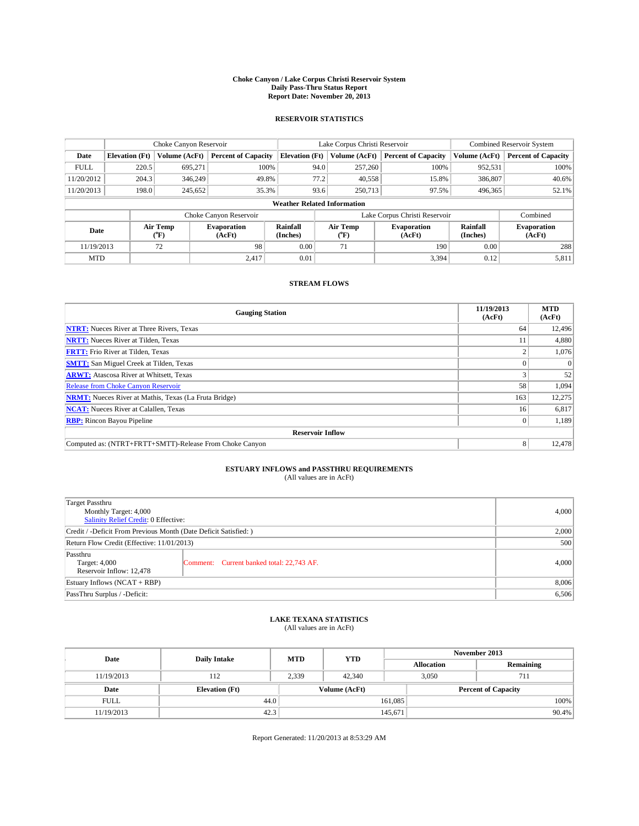#### **Choke Canyon / Lake Corpus Christi Reservoir System Daily Pass-Thru Status Report Report Date: November 20, 2013**

### **RESERVOIR STATISTICS**

|                                    | Choke Canyon Reservoir |                  |                              |                       | Lake Corpus Christi Reservoir                    | Combined Reservoir System     |                      |                              |
|------------------------------------|------------------------|------------------|------------------------------|-----------------------|--------------------------------------------------|-------------------------------|----------------------|------------------------------|
| Date                               | <b>Elevation</b> (Ft)  | Volume (AcFt)    | <b>Percent of Capacity</b>   | <b>Elevation (Ft)</b> | Volume (AcFt)                                    | <b>Percent of Capacity</b>    | Volume (AcFt)        | <b>Percent of Capacity</b>   |
| <b>FULL</b>                        | 220.5                  | 695.271          | 100%                         | 94.0                  | 257,260                                          | 100%                          | 952,531              | 100%                         |
| 11/20/2012                         | 204.3                  | 346,249          | 49.8%                        | 77.2                  | 40.558                                           | 15.8%                         | 386,807              | 40.6%                        |
| 11/20/2013                         | 198.0                  | 245,652          | 35.3%                        | 93.6                  | 250,713                                          | 97.5%                         | 496,365              | 52.1%                        |
| <b>Weather Related Information</b> |                        |                  |                              |                       |                                                  |                               |                      |                              |
|                                    |                        |                  | Choke Canyon Reservoir       |                       |                                                  | Lake Corpus Christi Reservoir |                      | Combined                     |
| Date                               |                        | Air Temp<br>(°F) | <b>Evaporation</b><br>(AcFt) | Rainfall<br>(Inches)  | Air Temp<br><b>Evaporation</b><br>(AcFt)<br>("F) |                               | Rainfall<br>(Inches) | <b>Evaporation</b><br>(AcFt) |
| 11/19/2013                         |                        | 72               | 98                           | 0.00                  | 71                                               | 190                           | 0.00                 | 288                          |

### **STREAM FLOWS**

MTD  $|$  2,417 0.01 3,394 0.12 5,811

| <b>Gauging Station</b>                                       | 11/19/2013<br>(AcFt) | <b>MTD</b><br>(AcFt) |  |  |  |  |
|--------------------------------------------------------------|----------------------|----------------------|--|--|--|--|
| <b>NTRT:</b> Nueces River at Three Rivers, Texas             | 64                   | 12,496               |  |  |  |  |
| <b>NRTT:</b> Nueces River at Tilden, Texas                   | 11                   | 4,880                |  |  |  |  |
| <b>FRTT:</b> Frio River at Tilden, Texas                     |                      | 1,076                |  |  |  |  |
| <b>SMTT:</b> San Miguel Creek at Tilden, Texas               |                      | $\Omega$             |  |  |  |  |
| <b>ARWT:</b> Atascosa River at Whitsett, Texas               |                      | 52                   |  |  |  |  |
| <b>Release from Choke Canyon Reservoir</b>                   | 58                   | 1,094                |  |  |  |  |
| <b>NRMT:</b> Nueces River at Mathis, Texas (La Fruta Bridge) | 163                  | 12,275               |  |  |  |  |
| <b>NCAT:</b> Nueces River at Calallen, Texas                 | 16                   | 6,817                |  |  |  |  |
| <b>RBP:</b> Rincon Bayou Pipeline                            | 0 <sup>1</sup>       | 1,189                |  |  |  |  |
| <b>Reservoir Inflow</b>                                      |                      |                      |  |  |  |  |
| Computed as: (NTRT+FRTT+SMTT)-Release From Choke Canyon      | 8                    | 12,478               |  |  |  |  |

## **ESTUARY INFLOWS and PASSTHRU REQUIREMENTS**<br>(All values are in AcFt)

| Target Passthru<br>Monthly Target: 4,000<br>Salinity Relief Credit: 0 Effective: | 4,000                                     |       |  |  |
|----------------------------------------------------------------------------------|-------------------------------------------|-------|--|--|
| Credit / -Deficit From Previous Month (Date Deficit Satisfied: )                 |                                           |       |  |  |
| Return Flow Credit (Effective: 11/01/2013)                                       |                                           |       |  |  |
| Passthru<br>Target: 4,000<br>Reservoir Inflow: 12,478                            | Comment: Current banked total: 22,743 AF. | 4,000 |  |  |
| Estuary Inflows $(NCAT + RBP)$                                                   |                                           |       |  |  |
| PassThru Surplus / -Deficit:                                                     | 6,506                                     |       |  |  |

## **LAKE TEXANA STATISTICS** (All values are in AcFt)

| Date        | <b>Daily Intake</b>   | <b>MTD</b> | <b>YTD</b>    | November 2013     |                            |           |  |
|-------------|-----------------------|------------|---------------|-------------------|----------------------------|-----------|--|
|             |                       |            |               | <b>Allocation</b> |                            | Remaining |  |
| 11/19/2013  | 112                   | 2,339      | 42,340        |                   | 3,050<br>711               |           |  |
| Date        | <b>Elevation</b> (Ft) |            | Volume (AcFt) |                   | <b>Percent of Capacity</b> |           |  |
| <b>FULL</b> | 44.0                  |            |               | 161,085           |                            | 100%      |  |
| 11/19/2013  | 42.3                  |            |               | 145,671           |                            | 90.4%     |  |

Report Generated: 11/20/2013 at 8:53:29 AM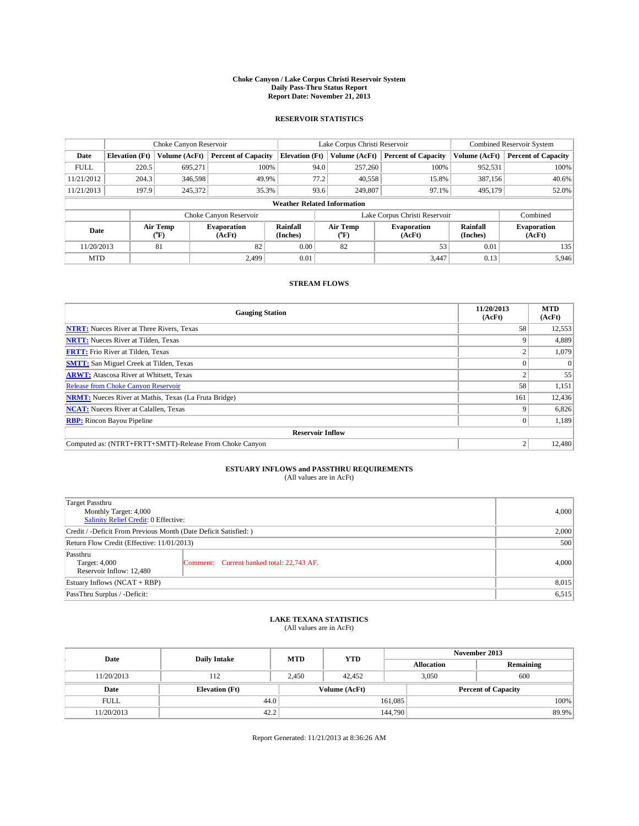#### **Choke Canyon / Lake Corpus Christi Reservoir System Daily Pass-Thru Status Report Report Date: November 21, 2013**

### **RESERVOIR STATISTICS**

|                                    | Choke Canyon Reservoir |                  |                              |                       | Lake Corpus Christi Reservoir                    | Combined Reservoir System     |                      |                              |
|------------------------------------|------------------------|------------------|------------------------------|-----------------------|--------------------------------------------------|-------------------------------|----------------------|------------------------------|
| Date                               | <b>Elevation</b> (Ft)  | Volume (AcFt)    | <b>Percent of Capacity</b>   | <b>Elevation (Ft)</b> | Volume (AcFt)                                    | <b>Percent of Capacity</b>    | Volume (AcFt)        | <b>Percent of Capacity</b>   |
| <b>FULL</b>                        | 220.5                  | 695.271          | 100%                         | 94.0                  | 257,260                                          | 100%                          | 952,531              | 100%                         |
| 11/21/2012                         | 204.3                  | 346,598          | 49.9%                        | 77.2                  | 40.558                                           | 15.8%                         | 387,156              | 40.6%                        |
| 11/21/2013                         | 197.9                  | 245,372          | 35.3%                        | 93.6                  | 249,807                                          | 97.1%                         | 495,179              | 52.0%                        |
| <b>Weather Related Information</b> |                        |                  |                              |                       |                                                  |                               |                      |                              |
|                                    |                        |                  | Choke Canyon Reservoir       |                       |                                                  | Lake Corpus Christi Reservoir |                      | Combined                     |
| Date                               |                        | Air Temp<br>(°F) | <b>Evaporation</b><br>(AcFt) | Rainfall<br>(Inches)  | Air Temp<br><b>Evaporation</b><br>(AcFt)<br>("F) |                               | Rainfall<br>(Inches) | <b>Evaporation</b><br>(AcFt) |
| 11/20/2013                         |                        | 81               | 82                           | 0.00                  | 82                                               | 53                            | 0.01                 | 135                          |

### **STREAM FLOWS**

MTD  $|$  2,499 0.01 3,447 0.13 5,946

| <b>Gauging Station</b>                                       | 11/20/2013<br>(AcFt) | <b>MTD</b><br>(AcFt) |  |  |  |  |
|--------------------------------------------------------------|----------------------|----------------------|--|--|--|--|
| <b>NTRT:</b> Nueces River at Three Rivers, Texas             | 58                   | 12,553               |  |  |  |  |
| <b>NRTT:</b> Nueces River at Tilden, Texas                   |                      | 4,889                |  |  |  |  |
| <b>FRTT:</b> Frio River at Tilden, Texas                     |                      | 1,079                |  |  |  |  |
| <b>SMTT:</b> San Miguel Creek at Tilden, Texas               |                      | $\Omega$             |  |  |  |  |
| <b>ARWT:</b> Atascosa River at Whitsett, Texas               |                      | 55                   |  |  |  |  |
| <b>Release from Choke Canyon Reservoir</b>                   | 58                   | 1,151                |  |  |  |  |
| <b>NRMT:</b> Nueces River at Mathis, Texas (La Fruta Bridge) | 161                  | 12,436               |  |  |  |  |
| <b>NCAT:</b> Nueces River at Calallen, Texas                 | Q                    | 6,826                |  |  |  |  |
| <b>RBP:</b> Rincon Bayou Pipeline                            | 0 <sup>1</sup>       | 1,189                |  |  |  |  |
| <b>Reservoir Inflow</b>                                      |                      |                      |  |  |  |  |
| Computed as: (NTRT+FRTT+SMTT)-Release From Choke Canyon      |                      | 12,480               |  |  |  |  |

## **ESTUARY INFLOWS and PASSTHRU REQUIREMENTS**<br>(All values are in AcFt)

| <b>Target Passthru</b><br>Monthly Target: 4,000<br>Salinity Relief Credit: 0 Effective: |                                           |       |  |  |
|-----------------------------------------------------------------------------------------|-------------------------------------------|-------|--|--|
| Credit / -Deficit From Previous Month (Date Deficit Satisfied: )                        |                                           |       |  |  |
| Return Flow Credit (Effective: 11/01/2013)                                              |                                           |       |  |  |
| Passthru<br>Target: 4,000<br>Reservoir Inflow: 12,480                                   | Comment: Current banked total: 22,743 AF. | 4,000 |  |  |
| Estuary Inflows $(NCAT + RBP)$                                                          |                                           |       |  |  |
| PassThru Surplus / -Deficit:                                                            | 6,515                                     |       |  |  |

## **LAKE TEXANA STATISTICS** (All values are in AcFt)

| Date        | <b>Daily Intake</b>   | <b>MTD</b> | <b>YTD</b>    | November 2013     |                            |           |  |
|-------------|-----------------------|------------|---------------|-------------------|----------------------------|-----------|--|
|             |                       |            |               | <b>Allocation</b> |                            | Remaining |  |
| 11/20/2013  | 112                   | 2.450      | 42,452        | 3,050             | 600                        |           |  |
| Date        | <b>Elevation</b> (Ft) |            | Volume (AcFt) |                   | <b>Percent of Capacity</b> |           |  |
| <b>FULL</b> | 44.0                  |            |               | 161,085           |                            | 100%      |  |
| 11/20/2013  | 42.2                  |            |               | 144,790           |                            | 89.9%     |  |

Report Generated: 11/21/2013 at 8:36:26 AM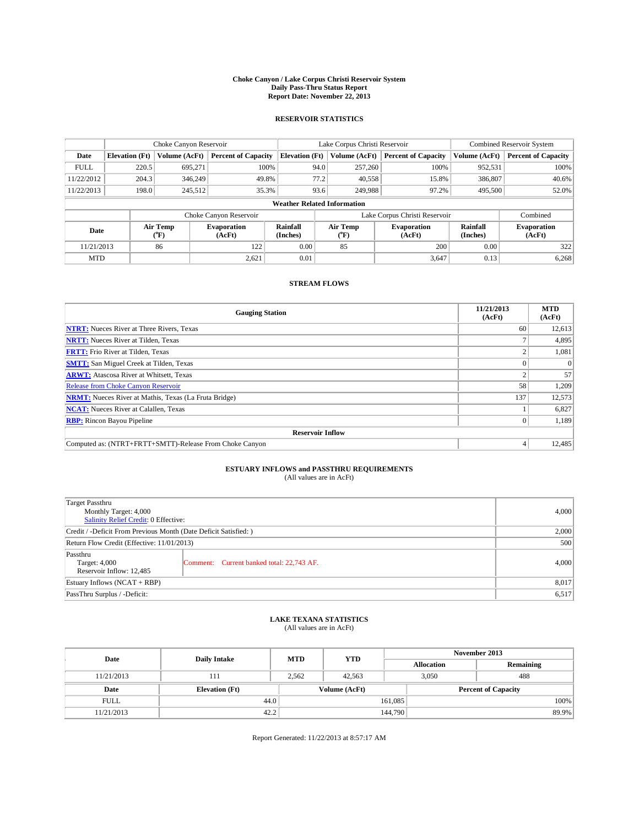#### **Choke Canyon / Lake Corpus Christi Reservoir System Daily Pass-Thru Status Report Report Date: November 22, 2013**

### **RESERVOIR STATISTICS**

|             | Choke Canyon Reservoir |                  |                            |                                    | Lake Corpus Christi Reservoir | <b>Combined Reservoir System</b> |                      |                              |  |
|-------------|------------------------|------------------|----------------------------|------------------------------------|-------------------------------|----------------------------------|----------------------|------------------------------|--|
| Date        | <b>Elevation</b> (Ft)  | Volume (AcFt)    | <b>Percent of Capacity</b> | <b>Elevation</b> (Ft)              | Volume (AcFt)                 | <b>Percent of Capacity</b>       | Volume (AcFt)        | <b>Percent of Capacity</b>   |  |
| <b>FULL</b> | 220.5                  | 695,271          | 100%                       | 94.0                               | 257,260                       | 100%                             | 952,531              | 100%                         |  |
| 11/22/2012  | 204.3                  | 346,249          | 49.8%                      | 77.2                               | 40,558                        | 15.8%                            | 386,807              | 40.6%                        |  |
| 11/22/2013  | 198.0                  | 245,512          | 35.3%                      | 93.6                               | 249,988                       | 97.2%                            | 495,500              | 52.0%                        |  |
|             |                        |                  |                            | <b>Weather Related Information</b> |                               |                                  |                      |                              |  |
|             |                        |                  | Choke Canyon Reservoir     |                                    | Lake Corpus Christi Reservoir |                                  |                      |                              |  |
| Date        |                        | Air Temp<br>(°F) | Evaporation<br>(AcFt)      | Rainfall<br>(Inches)               | Air Temp<br>("F)              | <b>Evaporation</b><br>(AcFt)     | Rainfall<br>(Inches) | <b>Evaporation</b><br>(AcFt) |  |
| 11/21/2013  |                        | 86               | 122                        | 0.00                               | 85                            | 200                              | 0.00                 | 322                          |  |

### **STREAM FLOWS**

MTD  $|$  0.01 0.01 3,647 0.13 6,268

| <b>Gauging Station</b>                                       | 11/21/2013<br>(AcFt) | <b>MTD</b><br>(AcFt) |  |  |  |  |
|--------------------------------------------------------------|----------------------|----------------------|--|--|--|--|
| <b>NTRT:</b> Nueces River at Three Rivers, Texas             | 60                   | 12,613               |  |  |  |  |
| <b>NRTT:</b> Nueces River at Tilden, Texas                   |                      | 4,895                |  |  |  |  |
| <b>FRTT:</b> Frio River at Tilden, Texas                     |                      | 1,081                |  |  |  |  |
| <b>SMTT:</b> San Miguel Creek at Tilden, Texas               |                      | $\theta$             |  |  |  |  |
| <b>ARWT:</b> Atascosa River at Whitsett, Texas               |                      | 57                   |  |  |  |  |
| <b>Release from Choke Canyon Reservoir</b>                   | 58                   | 1,209                |  |  |  |  |
| <b>NRMT:</b> Nueces River at Mathis, Texas (La Fruta Bridge) | 137                  | 12,573               |  |  |  |  |
| <b>NCAT:</b> Nueces River at Calallen, Texas                 |                      | 6,827                |  |  |  |  |
| <b>RBP:</b> Rincon Bayou Pipeline                            |                      | 1,189                |  |  |  |  |
| <b>Reservoir Inflow</b>                                      |                      |                      |  |  |  |  |
| Computed as: (NTRT+FRTT+SMTT)-Release From Choke Canyon      |                      | 12,485               |  |  |  |  |

## **ESTUARY INFLOWS and PASSTHRU REQUIREMENTS**<br>(All values are in AcFt)

| <b>Target Passthru</b><br>Monthly Target: 4,000<br>Salinity Relief Credit: 0 Effective: | 4,000                                     |       |  |  |
|-----------------------------------------------------------------------------------------|-------------------------------------------|-------|--|--|
| Credit / -Deficit From Previous Month (Date Deficit Satisfied: )                        |                                           |       |  |  |
| Return Flow Credit (Effective: 11/01/2013)                                              | 500                                       |       |  |  |
| Passthru<br>Target: 4,000<br>Reservoir Inflow: 12,485                                   | Comment: Current banked total: 22,743 AF. | 4,000 |  |  |
| Estuary Inflows $(NCAT + RBP)$                                                          | 8,017                                     |       |  |  |
| PassThru Surplus / -Deficit:                                                            | 6,517                                     |       |  |  |

## **LAKE TEXANA STATISTICS** (All values are in AcFt)

| Date        | <b>Daily Intake</b>   | <b>MTD</b> | <b>YTD</b>    | November 2013     |                            |           |  |
|-------------|-----------------------|------------|---------------|-------------------|----------------------------|-----------|--|
|             |                       |            |               | <b>Allocation</b> |                            | Remaining |  |
| 11/21/2013  | 111                   | 2,562      | 42.563        |                   | 3,050                      | 488       |  |
| Date        | <b>Elevation</b> (Ft) |            | Volume (AcFt) |                   | <b>Percent of Capacity</b> |           |  |
| <b>FULL</b> | 44.0                  |            |               | 161,085           |                            | 100%      |  |
| 11/21/2013  | 42.2                  |            |               | 144,790           |                            | 89.9%     |  |

Report Generated: 11/22/2013 at 8:57:17 AM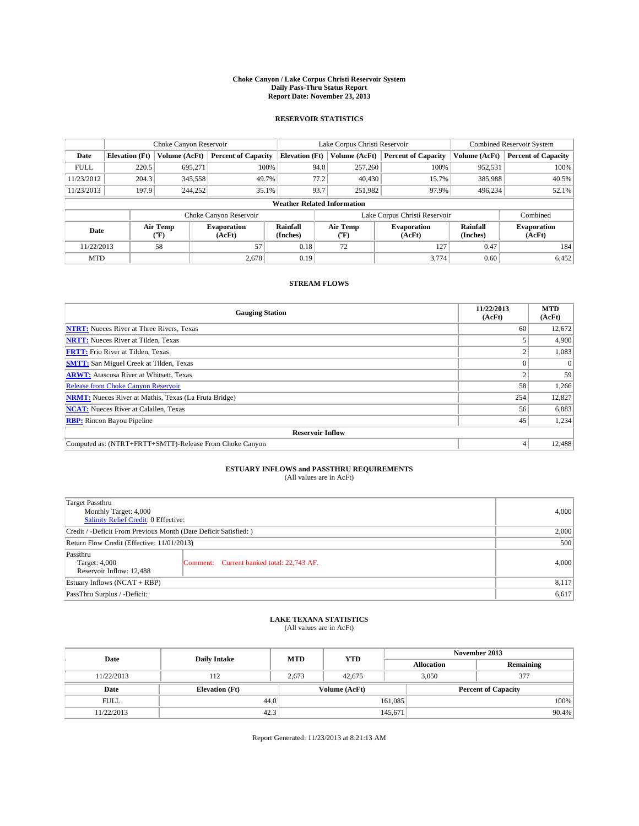#### **Choke Canyon / Lake Corpus Christi Reservoir System Daily Pass-Thru Status Report Report Date: November 23, 2013**

### **RESERVOIR STATISTICS**

|             | Choke Canyon Reservoir |                  |                              |                                                                          | Lake Corpus Christi Reservoir | Combined Reservoir System     |                      |                              |
|-------------|------------------------|------------------|------------------------------|--------------------------------------------------------------------------|-------------------------------|-------------------------------|----------------------|------------------------------|
| Date        | <b>Elevation</b> (Ft)  | Volume (AcFt)    | <b>Percent of Capacity</b>   | <b>Elevation</b> (Ft)                                                    | Volume (AcFt)                 | <b>Percent of Capacity</b>    | Volume (AcFt)        | <b>Percent of Capacity</b>   |
| <b>FULL</b> | 220.5                  | 695,271          | 100%                         | 94.0                                                                     | 257,260                       | 100%                          | 952,531              | 100%                         |
| 11/23/2012  | 204.3                  | 345,558          | 49.7%                        | 77.2                                                                     | 40,430                        | 15.7%                         | 385,988              | 40.5%                        |
| 11/23/2013  | 197.9                  | 244,252          | 35.1%                        | 93.7                                                                     | 251,982                       | 97.9%                         | 496,234              | 52.1%                        |
|             |                        |                  |                              | <b>Weather Related Information</b>                                       |                               |                               |                      |                              |
|             |                        |                  | Choke Canyon Reservoir       |                                                                          |                               | Lake Corpus Christi Reservoir |                      | Combined                     |
| Date        |                        | Air Temp<br>(°F) | <b>Evaporation</b><br>(AcFt) | Air Temp<br>Rainfall<br><b>Evaporation</b><br>(Inches)<br>(AcFt)<br>("F) |                               |                               | Rainfall<br>(Inches) | <b>Evaporation</b><br>(AcFt) |
| 11/22/2013  |                        | 58               | 57                           | 0.18                                                                     | 72                            | 127                           | 0.47                 | 184                          |

### **STREAM FLOWS**

MTD  $|$  2,678 0.19 3,774 0.60 6,452

| <b>Gauging Station</b>                                       | 11/22/2013<br>(AcFt) | <b>MTD</b><br>(AcFt) |  |  |  |  |
|--------------------------------------------------------------|----------------------|----------------------|--|--|--|--|
| <b>NTRT:</b> Nueces River at Three Rivers, Texas             | 60                   | 12,672               |  |  |  |  |
| <b>NRTT:</b> Nueces River at Tilden, Texas                   |                      | 4,900                |  |  |  |  |
| <b>FRTT:</b> Frio River at Tilden, Texas                     |                      | 1,083                |  |  |  |  |
| <b>SMTT:</b> San Miguel Creek at Tilden, Texas               |                      | $\Omega$             |  |  |  |  |
| <b>ARWT:</b> Atascosa River at Whitsett, Texas               |                      | 59                   |  |  |  |  |
| <b>Release from Choke Canyon Reservoir</b>                   | 58                   | 1,266                |  |  |  |  |
| <b>NRMT:</b> Nueces River at Mathis, Texas (La Fruta Bridge) | 254                  | 12,827               |  |  |  |  |
| <b>NCAT:</b> Nueces River at Calallen, Texas                 | 56                   | 6,883                |  |  |  |  |
| <b>RBP:</b> Rincon Bayou Pipeline                            | 45                   | 1,234                |  |  |  |  |
| <b>Reservoir Inflow</b>                                      |                      |                      |  |  |  |  |
| Computed as: (NTRT+FRTT+SMTT)-Release From Choke Canyon      | 4                    | 12,488               |  |  |  |  |

# **ESTUARY INFLOWS and PASSTHRU REQUIREMENTS**<br>(All values are in AcFt)

| <b>Target Passthru</b><br>Monthly Target: 4,000<br>Salinity Relief Credit: 0 Effective: | 4,000                                     |       |  |  |
|-----------------------------------------------------------------------------------------|-------------------------------------------|-------|--|--|
| Credit / -Deficit From Previous Month (Date Deficit Satisfied: )                        |                                           |       |  |  |
| Return Flow Credit (Effective: 11/01/2013)                                              |                                           |       |  |  |
| Passthru<br>Target: 4,000<br>Reservoir Inflow: 12,488                                   | Comment: Current banked total: 22,743 AF. | 4,000 |  |  |
| Estuary Inflows $(NCAT + RBP)$                                                          |                                           |       |  |  |
| PassThru Surplus / -Deficit:                                                            | 6,617                                     |       |  |  |

## **LAKE TEXANA STATISTICS** (All values are in AcFt)

| Date        | <b>Daily Intake</b>   | <b>MTD</b> | <b>YTD</b>    | November 2013     |                            |           |  |
|-------------|-----------------------|------------|---------------|-------------------|----------------------------|-----------|--|
|             |                       |            |               | <b>Allocation</b> |                            | Remaining |  |
| 11/22/2013  | 112                   | 2,673      | 42,675        |                   | 3,050<br>377               |           |  |
| Date        | <b>Elevation</b> (Ft) |            | Volume (AcFt) |                   | <b>Percent of Capacity</b> |           |  |
| <b>FULL</b> | 44.0                  |            |               | 161.085           |                            | 100%      |  |
| 11/22/2013  | 42.3                  |            |               | 145,671           |                            | 90.4%     |  |

Report Generated: 11/23/2013 at 8:21:13 AM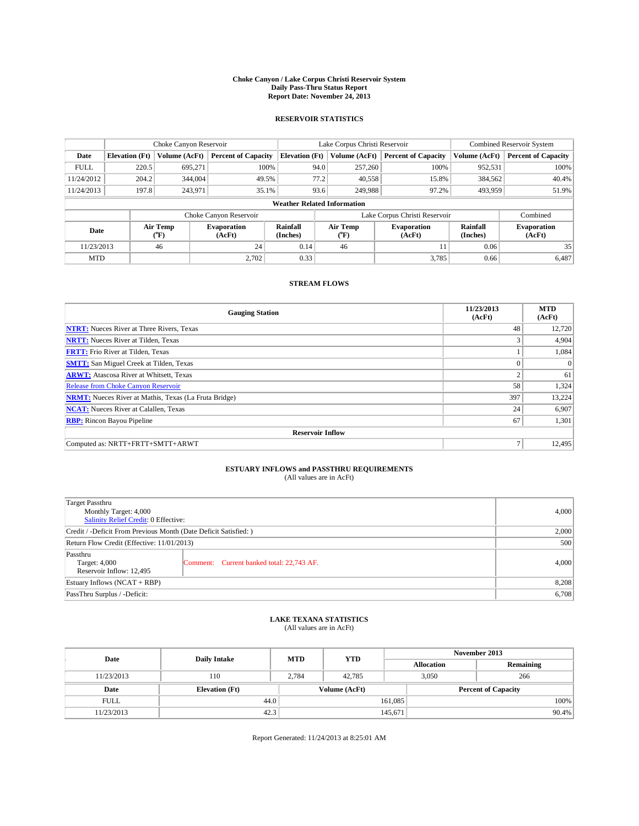#### **Choke Canyon / Lake Corpus Christi Reservoir System Daily Pass-Thru Status Report Report Date: November 24, 2013**

### **RESERVOIR STATISTICS**

|                                                                                  | Choke Canyon Reservoir |                      |                            |                                    | Lake Corpus Christi Reservoir             | Combined Reservoir System    |               |                            |  |
|----------------------------------------------------------------------------------|------------------------|----------------------|----------------------------|------------------------------------|-------------------------------------------|------------------------------|---------------|----------------------------|--|
| Date                                                                             | <b>Elevation</b> (Ft)  | <b>Volume (AcFt)</b> | <b>Percent of Capacity</b> | <b>Elevation (Ft)</b>              | Volume (AcFt)                             | <b>Percent of Capacity</b>   | Volume (AcFt) | <b>Percent of Capacity</b> |  |
| <b>FULL</b>                                                                      | 220.5                  | 695.271              | 100%                       | 94.0                               | 257,260                                   | 100%                         | 952,531       | 100%                       |  |
| 11/24/2012                                                                       | 204.2                  | 344,004              | 49.5%                      | 77.2                               | 40,558                                    | 15.8%                        | 384,562       | 40.4%                      |  |
| 11/24/2013                                                                       | 197.8                  | 243,971              | 35.1%                      | 93.6                               | 249,988                                   | 97.2%                        | 493,959       | 51.9%                      |  |
|                                                                                  |                        |                      |                            | <b>Weather Related Information</b> |                                           |                              |               |                            |  |
|                                                                                  |                        |                      | Choke Canyon Reservoir     |                                    | Lake Corpus Christi Reservoir<br>Combined |                              |               |                            |  |
| Rainfall<br>Air Temp<br><b>Evaporation</b><br>Date<br>(Inches)<br>(°F)<br>(AcFt) |                        |                      | Air Temp<br>(°F)           | <b>Evaporation</b><br>(AcFt)       | Rainfall<br>(Inches)                      | <b>Evaporation</b><br>(AcFt) |               |                            |  |
| 11/23/2013                                                                       |                        | 46                   | 24                         | 0.14                               | 46                                        |                              | 0.06          | 35                         |  |
| <b>MTD</b>                                                                       |                        |                      | 2.702                      | 0.33                               |                                           | 3,785                        | 0.66          | 6,487                      |  |

### **STREAM FLOWS**

| <b>Gauging Station</b>                                       | 11/23/2013<br>(AcFt) | <b>MTD</b><br>(AcFt) |  |  |  |  |  |
|--------------------------------------------------------------|----------------------|----------------------|--|--|--|--|--|
| <b>NTRT:</b> Nueces River at Three Rivers, Texas             | 48                   | 12,720               |  |  |  |  |  |
| <b>NRTT:</b> Nueces River at Tilden, Texas                   | 3                    | 4,904                |  |  |  |  |  |
| <b>FRTT:</b> Frio River at Tilden, Texas                     |                      | 1,084                |  |  |  |  |  |
| <b>SMTT:</b> San Miguel Creek at Tilden, Texas               | $\theta$             | $\Omega$             |  |  |  |  |  |
| <b>ARWT:</b> Atascosa River at Whitsett, Texas               | $\overline{2}$       | 61                   |  |  |  |  |  |
| <b>Release from Choke Canyon Reservoir</b>                   | 58                   | 1,324                |  |  |  |  |  |
| <b>NRMT:</b> Nueces River at Mathis, Texas (La Fruta Bridge) | 397                  | 13,224               |  |  |  |  |  |
| <b>NCAT:</b> Nueces River at Calallen, Texas                 | 24                   | 6,907                |  |  |  |  |  |
| <b>RBP:</b> Rincon Bayou Pipeline                            | 67                   | 1,301                |  |  |  |  |  |
| <b>Reservoir Inflow</b>                                      |                      |                      |  |  |  |  |  |
| Computed as: NRTT+FRTT+SMTT+ARWT                             | Ξ                    | 12,495               |  |  |  |  |  |

# **ESTUARY INFLOWS and PASSTHRU REQUIREMENTS**<br>(All values are in AcFt)

| Target Passthru<br>Monthly Target: 4,000<br>Salinity Relief Credit: 0 Effective: | 4,000                                     |       |
|----------------------------------------------------------------------------------|-------------------------------------------|-------|
| Credit / -Deficit From Previous Month (Date Deficit Satisfied: )                 | 2,000                                     |       |
| Return Flow Credit (Effective: 11/01/2013)                                       | 500                                       |       |
| Passthru<br>Target: 4,000<br>Reservoir Inflow: 12,495                            | Comment: Current banked total: 22,743 AF. | 4,000 |
| Estuary Inflows (NCAT + RBP)                                                     | 8,208                                     |       |
| PassThru Surplus / -Deficit:                                                     | 6,708                                     |       |

## **LAKE TEXANA STATISTICS** (All values are in AcFt)

| Date        | <b>Daily Intake</b>   | <b>MTD</b> | <b>YTD</b>    | November 2013     |                            |           |  |
|-------------|-----------------------|------------|---------------|-------------------|----------------------------|-----------|--|
|             |                       |            |               | <b>Allocation</b> |                            | Remaining |  |
| 11/23/2013  | 110                   | 2,784      | 42,785        |                   | 3,050<br>266               |           |  |
| Date        | <b>Elevation</b> (Ft) |            | Volume (AcFt) |                   | <b>Percent of Capacity</b> |           |  |
| <b>FULL</b> | 44.0                  |            |               | 161,085           |                            | 100%      |  |
| 11/23/2013  | 42.3                  |            |               | 145,671           |                            | 90.4%     |  |

Report Generated: 11/24/2013 at 8:25:01 AM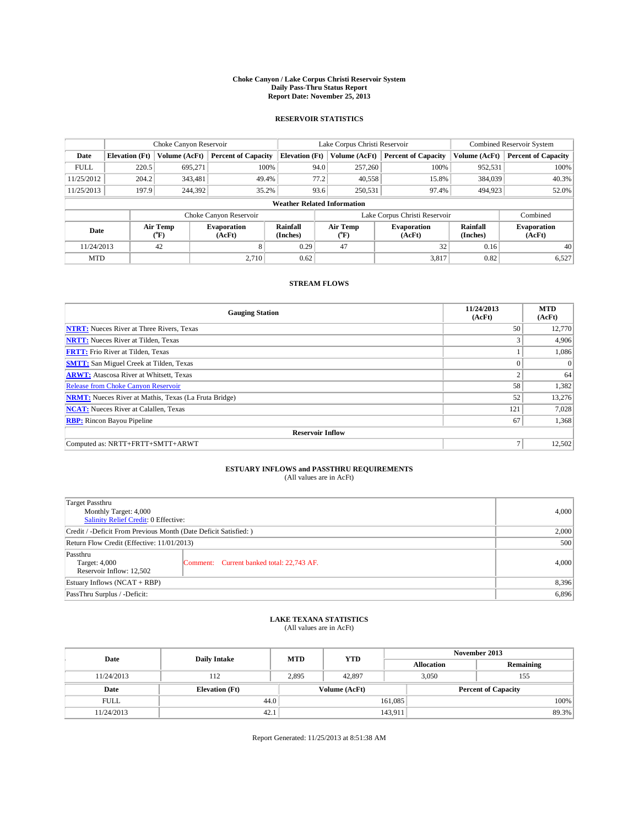#### **Choke Canyon / Lake Corpus Christi Reservoir System Daily Pass-Thru Status Report Report Date: November 25, 2013**

### **RESERVOIR STATISTICS**

|             |                       | Choke Canyon Reservoir |                              |                                    | Lake Corpus Christi Reservoir | <b>Combined Reservoir System</b> |                      |                              |
|-------------|-----------------------|------------------------|------------------------------|------------------------------------|-------------------------------|----------------------------------|----------------------|------------------------------|
| Date        | <b>Elevation</b> (Ft) | Volume (AcFt)          | <b>Percent of Capacity</b>   | <b>Elevation (Ft)</b>              | Volume (AcFt)                 | <b>Percent of Capacity</b>       | Volume (AcFt)        | Percent of Capacity          |
| <b>FULL</b> | 220.5                 | 695.271                | 100%                         | 94.0                               | 257,260                       | 100%                             | 952,531              | 100%                         |
| 11/25/2012  | 204.2                 | 343,481                | 49.4%                        | 77.2                               | 40,558                        | 15.8%                            | 384,039              | $40.3\%$                     |
| 11/25/2013  | 197.9                 | 244,392                | 35.2%                        | 93.6                               | 250,531                       | 97.4%                            | 494.923              | 52.0%                        |
|             |                       |                        |                              | <b>Weather Related Information</b> |                               |                                  |                      |                              |
|             |                       |                        | Choke Canyon Reservoir       |                                    |                               | Lake Corpus Christi Reservoir    |                      | Combined                     |
| Date        |                       | Air Temp<br>(°F)       | <b>Evaporation</b><br>(AcFt) | Rainfall<br>(Inches)               | Air Temp<br>("F)              | <b>Evaporation</b><br>(AcFt)     | Rainfall<br>(Inches) | <b>Evaporation</b><br>(AcFt) |
| 11/24/2013  |                       | 42                     | 8                            | 0.29                               | 47<br>32                      |                                  | 0.16                 | 40                           |
| <b>MTD</b>  |                       |                        | 2.710                        | 0.62                               |                               | 3,817                            | 0.82                 | 6,527                        |

### **STREAM FLOWS**

| <b>Gauging Station</b>                                       | 11/24/2013<br>(AcFt) | <b>MTD</b><br>(AcFt) |  |  |  |  |
|--------------------------------------------------------------|----------------------|----------------------|--|--|--|--|
| <b>NTRT:</b> Nueces River at Three Rivers, Texas             | 50                   | 12,770               |  |  |  |  |
| <b>NRTT:</b> Nueces River at Tilden, Texas                   | 3                    | 4,906                |  |  |  |  |
| <b>FRTT:</b> Frio River at Tilden, Texas                     |                      | 1,086                |  |  |  |  |
| <b>SMTT:</b> San Miguel Creek at Tilden, Texas               |                      | $\Omega$             |  |  |  |  |
| <b>ARWT:</b> Atascosa River at Whitsett, Texas               | $\overline{c}$       | 64                   |  |  |  |  |
| Release from Choke Canyon Reservoir                          | 58                   | 1,382                |  |  |  |  |
| <b>NRMT:</b> Nueces River at Mathis, Texas (La Fruta Bridge) | 52                   | 13,276               |  |  |  |  |
| <b>NCAT:</b> Nueces River at Calallen, Texas                 | 121                  | 7,028                |  |  |  |  |
| <b>RBP:</b> Rincon Bayou Pipeline                            | 67                   | 1,368                |  |  |  |  |
| <b>Reservoir Inflow</b>                                      |                      |                      |  |  |  |  |
| Computed as: NRTT+FRTT+SMTT+ARWT                             | Ξ                    | 12,502               |  |  |  |  |

# **ESTUARY INFLOWS and PASSTHRU REQUIREMENTS**<br>(All values are in AcFt)

| Target Passthru<br>Monthly Target: 4,000<br>Salinity Relief Credit: 0 Effective: | 4,000                                     |       |
|----------------------------------------------------------------------------------|-------------------------------------------|-------|
| Credit / -Deficit From Previous Month (Date Deficit Satisfied: )                 | 2,000                                     |       |
| Return Flow Credit (Effective: 11/01/2013)                                       | 500                                       |       |
| Passthru<br>Target: 4,000<br>Reservoir Inflow: 12,502                            | Comment: Current banked total: 22,743 AF. | 4,000 |
| Estuary Inflows (NCAT + RBP)                                                     | 8,396                                     |       |
| PassThru Surplus / -Deficit:                                                     | 6,896                                     |       |

## **LAKE TEXANA STATISTICS** (All values are in AcFt)

| Date        | <b>Daily Intake</b>   | <b>MTD</b> | <b>YTD</b>    | November 2013     |                            |           |  |
|-------------|-----------------------|------------|---------------|-------------------|----------------------------|-----------|--|
|             |                       |            |               | <b>Allocation</b> |                            | Remaining |  |
| 11/24/2013  | 112                   | 2,895      | 42,897        |                   | 3,050<br>155               |           |  |
| Date        | <b>Elevation</b> (Ft) |            | Volume (AcFt) |                   | <b>Percent of Capacity</b> |           |  |
| <b>FULL</b> | 44.0                  |            |               | 161,085           |                            | 100%      |  |
| 11/24/2013  | 42.1                  |            |               | 143,911           |                            | 89.3%     |  |

Report Generated: 11/25/2013 at 8:51:38 AM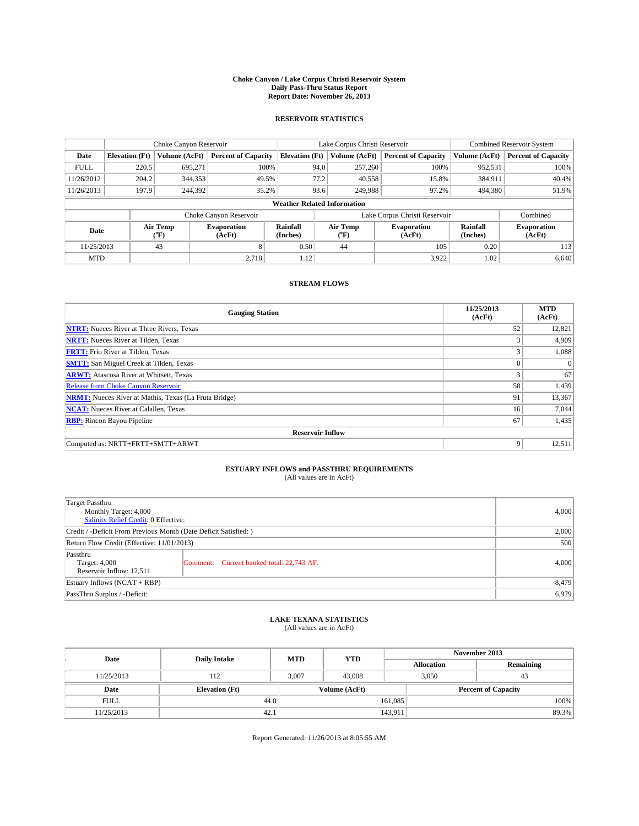#### **Choke Canyon / Lake Corpus Christi Reservoir System Daily Pass-Thru Status Report Report Date: November 26, 2013**

### **RESERVOIR STATISTICS**

|             |                       | Choke Canyon Reservoir |                              |                                    | Lake Corpus Christi Reservoir | Combined Reservoir System     |                      |                              |
|-------------|-----------------------|------------------------|------------------------------|------------------------------------|-------------------------------|-------------------------------|----------------------|------------------------------|
| Date        | <b>Elevation</b> (Ft) | <b>Volume (AcFt)</b>   | <b>Percent of Capacity</b>   | <b>Elevation (Ft)</b>              | Volume (AcFt)                 | <b>Percent of Capacity</b>    | Volume (AcFt)        | <b>Percent of Capacity</b>   |
| <b>FULL</b> | 220.5                 | 695.271                | 100%                         | 94.0                               | 257,260                       | 100%                          | 952,531              | 100%                         |
| 11/26/2012  | 204.2                 | 344,353                | 49.5%                        | 77.2                               | 40,558                        | 15.8%                         | 384,911              | 40.4%                        |
| 11/26/2013  | 197.9                 | 244,392                | 35.2%                        | 93.6                               | 249,988                       | 97.2%                         | 494,380              | 51.9%                        |
|             |                       |                        |                              | <b>Weather Related Information</b> |                               |                               |                      |                              |
|             |                       |                        | Choke Canyon Reservoir       |                                    |                               | Lake Corpus Christi Reservoir |                      | Combined                     |
| Date        |                       | Air Temp<br>(°F)       | <b>Evaporation</b><br>(AcFt) | Rainfall<br>(Inches)               | Air Temp<br>(°F)              | <b>Evaporation</b><br>(AcFt)  | Rainfall<br>(Inches) | <b>Evaporation</b><br>(AcFt) |
| 11/25/2013  |                       | 43<br>8                |                              | 0.50                               | 44                            | 105                           | 0.20                 | 113                          |
| <b>MTD</b>  |                       |                        | 2.718                        | 1.12                               |                               | 3,922                         | 1.02                 | 6,640                        |

### **STREAM FLOWS**

| <b>Gauging Station</b>                                       | 11/25/2013<br>(AcFt) | <b>MTD</b><br>(AcFt) |  |  |  |  |
|--------------------------------------------------------------|----------------------|----------------------|--|--|--|--|
| <b>NTRT:</b> Nueces River at Three Rivers, Texas             | 52                   | 12,821               |  |  |  |  |
| <b>NRTT:</b> Nueces River at Tilden, Texas                   | 3                    | 4,909                |  |  |  |  |
| <b>FRTT:</b> Frio River at Tilden, Texas                     | 3                    | 1,088                |  |  |  |  |
| <b>SMTT:</b> San Miguel Creek at Tilden, Texas               |                      | $\Omega$             |  |  |  |  |
| <b>ARWT:</b> Atascosa River at Whitsett, Texas               | 3                    | 67                   |  |  |  |  |
| Release from Choke Canyon Reservoir                          | 58                   | 1,439                |  |  |  |  |
| <b>NRMT:</b> Nueces River at Mathis, Texas (La Fruta Bridge) | 91                   | 13,367               |  |  |  |  |
| <b>NCAT:</b> Nueces River at Calallen, Texas                 | 16                   | 7,044                |  |  |  |  |
| <b>RBP:</b> Rincon Bayou Pipeline                            | 67                   | 1,435                |  |  |  |  |
| <b>Reservoir Inflow</b>                                      |                      |                      |  |  |  |  |
| Computed as: NRTT+FRTT+SMTT+ARWT                             | 9                    | 12,511               |  |  |  |  |

# **ESTUARY INFLOWS and PASSTHRU REQUIREMENTS**<br>(All values are in AcFt)

| Target Passthru<br>Monthly Target: 4,000                         | 4,000                                     |       |  |  |
|------------------------------------------------------------------|-------------------------------------------|-------|--|--|
| Salinity Relief Credit: 0 Effective:                             |                                           |       |  |  |
| Credit / -Deficit From Previous Month (Date Deficit Satisfied: ) |                                           |       |  |  |
| Return Flow Credit (Effective: 11/01/2013)                       |                                           |       |  |  |
| Passthru<br>Target: 4,000<br>Reservoir Inflow: 12,511            | Comment: Current banked total: 22,743 AF. | 4,000 |  |  |
| Estuary Inflows (NCAT + RBP)                                     | 8,479                                     |       |  |  |
| PassThru Surplus / -Deficit:                                     | 6,979                                     |       |  |  |

## **LAKE TEXANA STATISTICS** (All values are in AcFt)

| Date        | <b>Daily Intake</b>   | <b>MTD</b> | <b>YTD</b>    | November 2013     |                            |           |  |
|-------------|-----------------------|------------|---------------|-------------------|----------------------------|-----------|--|
|             |                       |            |               | <b>Allocation</b> |                            | Remaining |  |
| 11/25/2013  | 112                   | 3,007      | 43,008        |                   | 3,050<br>43                |           |  |
| Date        | <b>Elevation</b> (Ft) |            | Volume (AcFt) |                   | <b>Percent of Capacity</b> |           |  |
| <b>FULL</b> | 44.0                  |            |               | 161,085           |                            | 100%      |  |
| 11/25/2013  | 42.1                  |            |               | 143,911           |                            | 89.3%     |  |

Report Generated: 11/26/2013 at 8:05:55 AM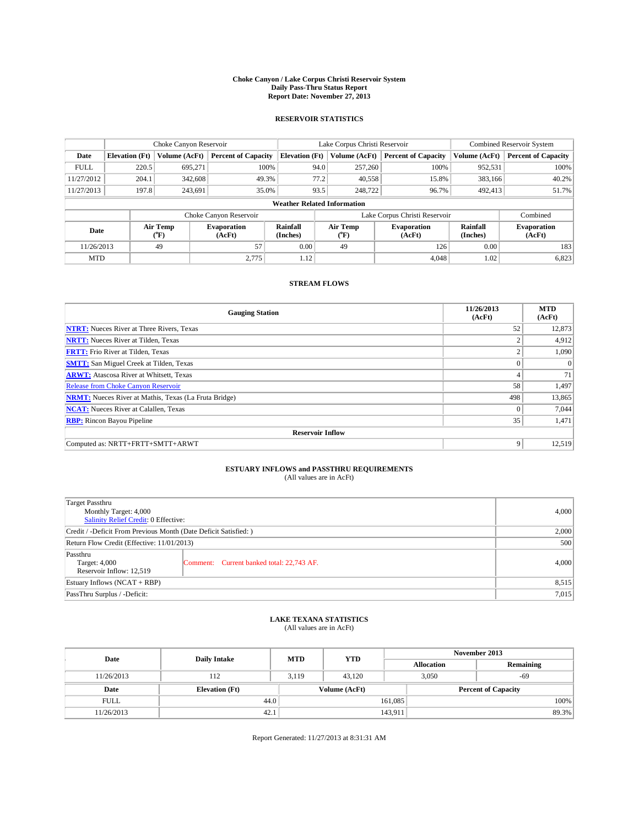#### **Choke Canyon / Lake Corpus Christi Reservoir System Daily Pass-Thru Status Report Report Date: November 27, 2013**

### **RESERVOIR STATISTICS**

|             |                       | Choke Canyon Reservoir |                            |                                    | Lake Corpus Christi Reservoir | <b>Combined Reservoir System</b> |                      |                              |  |
|-------------|-----------------------|------------------------|----------------------------|------------------------------------|-------------------------------|----------------------------------|----------------------|------------------------------|--|
| Date        | <b>Elevation</b> (Ft) | Volume (AcFt)          | <b>Percent of Capacity</b> | <b>Elevation</b> (Ft)              | Volume (AcFt)                 | <b>Percent of Capacity</b>       | Volume (AcFt)        | <b>Percent of Capacity</b>   |  |
| <b>FULL</b> | 220.5                 | 695,271                | 100%                       | 94.0<br>257,260                    |                               | 100%                             | 952,531              | 100%                         |  |
| 11/27/2012  | 204.1                 | 342,608                |                            | 77.2<br>15.8%<br>49.3%<br>40,558   |                               | 383,166                          | 40.2%                |                              |  |
| 11/27/2013  | 197.8                 | 243,691                |                            | 35.0%<br>93.5                      |                               | 248,722<br>96.7%                 | 492,413              | 51.7%                        |  |
|             |                       |                        |                            | <b>Weather Related Information</b> |                               |                                  |                      |                              |  |
|             |                       |                        | Choke Canyon Reservoir     |                                    | Lake Corpus Christi Reservoir |                                  |                      |                              |  |
| Date        |                       | Air Temp<br>(°F)       | Evaporation<br>(AcFt)      | Rainfall<br>(Inches)               | Air Temp<br>("F)              | <b>Evaporation</b><br>(AcFt)     | Rainfall<br>(Inches) | <b>Evaporation</b><br>(AcFt) |  |
| 11/26/2013  |                       | 49                     | 57                         | 0.00                               | 49                            | 126                              | 0.00                 | 183                          |  |

### **STREAM FLOWS**

MTD  $|$  0.02 6,823

| <b>Gauging Station</b>                                       | 11/26/2013<br>(AcFt) | <b>MTD</b><br>(AcFt) |  |  |  |  |
|--------------------------------------------------------------|----------------------|----------------------|--|--|--|--|
| <b>NTRT:</b> Nueces River at Three Rivers, Texas             | 52                   | 12,873               |  |  |  |  |
| <b>NRTT:</b> Nueces River at Tilden, Texas                   | $\overline{2}$       | 4,912                |  |  |  |  |
| <b>FRTT:</b> Frio River at Tilden, Texas                     | $\overline{2}$       | 1,090                |  |  |  |  |
| <b>SMTT:</b> San Miguel Creek at Tilden, Texas               | $\theta$             | $\Omega$             |  |  |  |  |
| <b>ARWT:</b> Atascosa River at Whitsett, Texas               | 4                    | 71                   |  |  |  |  |
| <b>Release from Choke Canyon Reservoir</b>                   | 58                   | 1,497                |  |  |  |  |
| <b>NRMT:</b> Nueces River at Mathis, Texas (La Fruta Bridge) | 498                  | 13,865               |  |  |  |  |
| <b>NCAT:</b> Nueces River at Calallen, Texas                 | $\Omega$             | 7,044                |  |  |  |  |
| <b>RBP:</b> Rincon Bayou Pipeline                            | 35                   | 1,471                |  |  |  |  |
| <b>Reservoir Inflow</b>                                      |                      |                      |  |  |  |  |
| Computed as: NRTT+FRTT+SMTT+ARWT                             | 9                    | 12,519               |  |  |  |  |

## **ESTUARY INFLOWS and PASSTHRU REQUIREMENTS**<br>(All values are in AcFt)

| Target Passthru<br>Monthly Target: 4,000<br>Salinity Relief Credit: 0 Effective: | 4,000                                     |       |  |  |
|----------------------------------------------------------------------------------|-------------------------------------------|-------|--|--|
| Credit / -Deficit From Previous Month (Date Deficit Satisfied: )                 |                                           |       |  |  |
| Return Flow Credit (Effective: 11/01/2013)                                       | 500                                       |       |  |  |
| Passthru<br>Target: 4,000<br>Reservoir Inflow: 12,519                            | Comment: Current banked total: 22,743 AF. | 4,000 |  |  |
| Estuary Inflows (NCAT + RBP)                                                     | 8,515                                     |       |  |  |
| PassThru Surplus / -Deficit:                                                     | 7,015                                     |       |  |  |

## **LAKE TEXANA STATISTICS** (All values are in AcFt)

| Date        | <b>Daily Intake</b>   | <b>MTD</b> | <b>YTD</b>    | November 2013     |                            |           |  |
|-------------|-----------------------|------------|---------------|-------------------|----------------------------|-----------|--|
|             |                       |            |               | <b>Allocation</b> |                            | Remaining |  |
| 11/26/2013  | 112                   | 3,119      | 43.120        |                   | 3,050<br>$-69$             |           |  |
| Date        | <b>Elevation</b> (Ft) |            | Volume (AcFt) |                   | <b>Percent of Capacity</b> |           |  |
| <b>FULL</b> | 44.0                  |            |               | 161.085           |                            | 100%      |  |
| 11/26/2013  | 42.1                  |            |               | 143,911           |                            | 89.3%     |  |

Report Generated: 11/27/2013 at 8:31:31 AM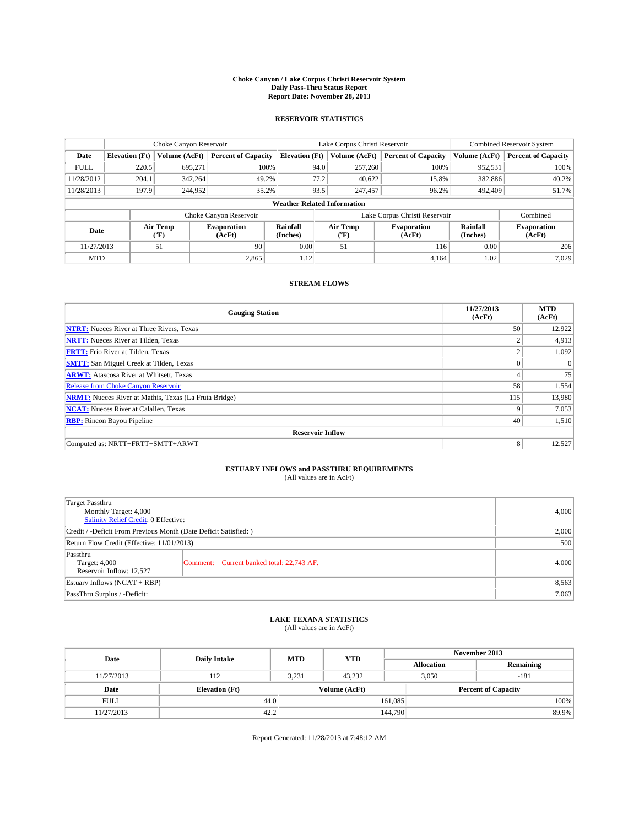#### **Choke Canyon / Lake Corpus Christi Reservoir System Daily Pass-Thru Status Report Report Date: November 28, 2013**

### **RESERVOIR STATISTICS**

|                                                          |                       | Choke Canyon Reservoir |                            |                                    | Lake Corpus Christi Reservoir             | Combined Reservoir System    |               |                            |
|----------------------------------------------------------|-----------------------|------------------------|----------------------------|------------------------------------|-------------------------------------------|------------------------------|---------------|----------------------------|
| Date                                                     | <b>Elevation</b> (Ft) | <b>Volume (AcFt)</b>   | <b>Percent of Capacity</b> | <b>Elevation (Ft)</b>              | Volume (AcFt)                             | <b>Percent of Capacity</b>   | Volume (AcFt) | <b>Percent of Capacity</b> |
| <b>FULL</b>                                              | 220.5                 | 695.271                | 100%                       | 94.0                               | 257,260                                   | 100%                         | 952,531       | 100%                       |
| 11/28/2012                                               | 204.1                 | 342,264                | 49.2%                      | 77.2                               | 40,622                                    | 15.8%                        | 382,886       | 40.2%                      |
| 11/28/2013                                               | 197.9                 | 244,952                | 35.2%                      | 93.5                               | 247,457                                   | 96.2%                        | 492,409       | 51.7%                      |
|                                                          |                       |                        |                            | <b>Weather Related Information</b> |                                           |                              |               |                            |
|                                                          |                       |                        | Choke Canyon Reservoir     |                                    | Lake Corpus Christi Reservoir<br>Combined |                              |               |                            |
| Air Temp<br><b>Evaporation</b><br>Date<br>(°F)<br>(AcFt) |                       | Rainfall<br>(Inches)   | Air Temp<br>(°F)           | <b>Evaporation</b><br>(AcFt)       | Rainfall<br>(Inches)                      | <b>Evaporation</b><br>(AcFt) |               |                            |
| 11/27/2013                                               |                       | 90<br>51               |                            | 0.00                               | 51                                        | 116                          | 0.00          | 206                        |
| <b>MTD</b>                                               |                       |                        | 2,865                      | 1.12                               |                                           | 4.164                        | 1.02          | 7,029                      |

### **STREAM FLOWS**

| <b>Gauging Station</b>                                       | 11/27/2013<br>(AcFt) | <b>MTD</b><br>(AcFt) |  |  |  |  |  |
|--------------------------------------------------------------|----------------------|----------------------|--|--|--|--|--|
| <b>NTRT:</b> Nueces River at Three Rivers, Texas             | 50                   | 12,922               |  |  |  |  |  |
| <b>NRTT:</b> Nueces River at Tilden, Texas                   | $\overline{2}$       | 4,913                |  |  |  |  |  |
| <b>FRTT:</b> Frio River at Tilden, Texas                     | $\overline{2}$       | 1,092                |  |  |  |  |  |
| <b>SMTT:</b> San Miguel Creek at Tilden, Texas               | $\theta$             | $\Omega$             |  |  |  |  |  |
| <b>ARWT:</b> Atascosa River at Whitsett, Texas               | 4                    | 75                   |  |  |  |  |  |
| Release from Choke Canyon Reservoir                          | 58                   | 1,554                |  |  |  |  |  |
| <b>NRMT:</b> Nueces River at Mathis, Texas (La Fruta Bridge) | 115                  | 13,980               |  |  |  |  |  |
| <b>NCAT:</b> Nueces River at Calallen, Texas                 | 9                    | 7,053                |  |  |  |  |  |
| <b>RBP:</b> Rincon Bayou Pipeline                            | 40                   | 1,510                |  |  |  |  |  |
| <b>Reservoir Inflow</b>                                      |                      |                      |  |  |  |  |  |
| Computed as: NRTT+FRTT+SMTT+ARWT                             | 8                    | 12,527               |  |  |  |  |  |

# **ESTUARY INFLOWS and PASSTHRU REQUIREMENTS**<br>(All values are in AcFt)

| Target Passthru<br>Monthly Target: 4,000                         | 4,000                                     |       |  |  |
|------------------------------------------------------------------|-------------------------------------------|-------|--|--|
| Salinity Relief Credit: 0 Effective:                             |                                           |       |  |  |
| Credit / -Deficit From Previous Month (Date Deficit Satisfied: ) | 2,000                                     |       |  |  |
| Return Flow Credit (Effective: 11/01/2013)                       |                                           |       |  |  |
| Passthru<br>Target: 4,000<br>Reservoir Inflow: 12,527            | Comment: Current banked total: 22,743 AF. | 4,000 |  |  |
| Estuary Inflows (NCAT + RBP)                                     | 8,563                                     |       |  |  |
| PassThru Surplus / -Deficit:                                     | 7,063                                     |       |  |  |

## **LAKE TEXANA STATISTICS** (All values are in AcFt)

| Date        | <b>Daily Intake</b>   | <b>MTD</b> | <b>YTD</b>    | November 2013     |                            |           |  |
|-------------|-----------------------|------------|---------------|-------------------|----------------------------|-----------|--|
|             |                       |            |               | <b>Allocation</b> |                            | Remaining |  |
| 11/27/2013  | 112                   | 3,231      | 43,232        |                   | 3,050<br>$-181$            |           |  |
| Date        | <b>Elevation</b> (Ft) |            | Volume (AcFt) |                   | <b>Percent of Capacity</b> |           |  |
| <b>FULL</b> | 44.0                  |            |               | 161,085           |                            | 100%      |  |
| 11/27/2013  | 42.2                  |            |               | 144,790           |                            | 89.9%     |  |

Report Generated: 11/28/2013 at 7:48:12 AM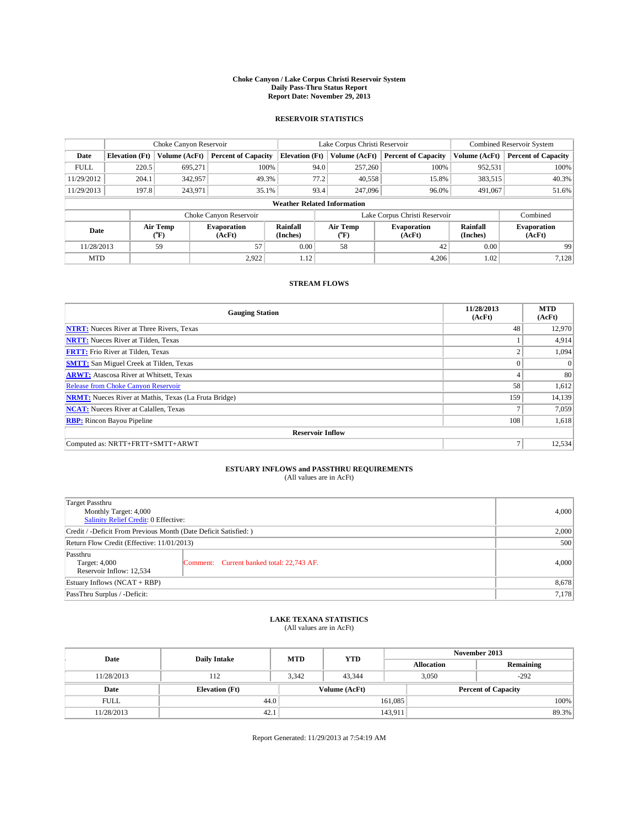#### **Choke Canyon / Lake Corpus Christi Reservoir System Daily Pass-Thru Status Report Report Date: November 29, 2013**

### **RESERVOIR STATISTICS**

|                                                                                  |                                    | Choke Canyon Reservoir |                              |                       | Lake Corpus Christi Reservoir             | Combined Reservoir System  |               |                            |  |
|----------------------------------------------------------------------------------|------------------------------------|------------------------|------------------------------|-----------------------|-------------------------------------------|----------------------------|---------------|----------------------------|--|
| Date                                                                             | <b>Elevation</b> (Ft)              | <b>Volume (AcFt)</b>   | <b>Percent of Capacity</b>   | <b>Elevation (Ft)</b> | Volume (AcFt)                             | <b>Percent of Capacity</b> | Volume (AcFt) | <b>Percent of Capacity</b> |  |
| <b>FULL</b>                                                                      | 220.5                              | 695.271                | 100%                         | 94.0                  | 257,260                                   | 100%                       | 952,531       | 100%                       |  |
| 11/29/2012                                                                       | 204.1                              | 342,957                | 49.3%                        | 77.2                  | 40,558                                    | 15.8%                      | 383,515       | 40.3%                      |  |
| 11/29/2013                                                                       | 197.8                              | 243,971                | 35.1%                        | 93.4                  | 247,096                                   | 96.0%                      | 491,067       | 51.6%                      |  |
|                                                                                  | <b>Weather Related Information</b> |                        |                              |                       |                                           |                            |               |                            |  |
|                                                                                  |                                    |                        | Choke Canyon Reservoir       |                       | Lake Corpus Christi Reservoir<br>Combined |                            |               |                            |  |
| Rainfall<br>Air Temp<br><b>Evaporation</b><br>Date<br>(Inches)<br>(°F)<br>(AcFt) |                                    | Air Temp<br>(°F)       | <b>Evaporation</b><br>(AcFt) | Rainfall<br>(Inches)  | <b>Evaporation</b><br>(AcFt)              |                            |               |                            |  |
| 11/28/2013                                                                       | 57<br>59                           |                        | 0.00                         | 58                    | 42                                        | 0.00                       | 99            |                            |  |
| <b>MTD</b>                                                                       |                                    |                        | 2.922                        | 1.12                  |                                           | 4,206                      | 1.02          | 7,128                      |  |

### **STREAM FLOWS**

| <b>Gauging Station</b>                                       | 11/28/2013<br>(AcFt) | <b>MTD</b><br>(AcFt) |  |  |  |  |  |
|--------------------------------------------------------------|----------------------|----------------------|--|--|--|--|--|
| <b>NTRT:</b> Nueces River at Three Rivers, Texas             | 48                   | 12,970               |  |  |  |  |  |
| <b>NRTT:</b> Nueces River at Tilden, Texas                   |                      | 4,914                |  |  |  |  |  |
| <b>FRTT:</b> Frio River at Tilden, Texas                     | 2                    | 1,094                |  |  |  |  |  |
| <b>SMTT:</b> San Miguel Creek at Tilden, Texas               | $\theta$             | $\Omega$             |  |  |  |  |  |
| <b>ARWT:</b> Atascosa River at Whitsett, Texas               | 4                    | 80                   |  |  |  |  |  |
| Release from Choke Canyon Reservoir                          | 58                   | 1,612                |  |  |  |  |  |
| <b>NRMT:</b> Nueces River at Mathis, Texas (La Fruta Bridge) | 159                  | 14,139               |  |  |  |  |  |
| <b>NCAT:</b> Nueces River at Calallen, Texas                 | Ξ                    | 7,059                |  |  |  |  |  |
| <b>RBP:</b> Rincon Bayou Pipeline                            | 108                  | 1,618                |  |  |  |  |  |
| <b>Reservoir Inflow</b>                                      |                      |                      |  |  |  |  |  |
| Computed as: NRTT+FRTT+SMTT+ARWT                             | Ξ                    | 12,534               |  |  |  |  |  |

# **ESTUARY INFLOWS and PASSTHRU REQUIREMENTS**<br>(All values are in AcFt)

| Target Passthru<br>Monthly Target: 4,000<br>Salinity Relief Credit: 0 Effective: | 4,000                                     |       |
|----------------------------------------------------------------------------------|-------------------------------------------|-------|
| Credit / -Deficit From Previous Month (Date Deficit Satisfied: )                 | 2,000                                     |       |
| Return Flow Credit (Effective: 11/01/2013)                                       | 500                                       |       |
| Passthru<br>Target: 4,000<br>Reservoir Inflow: 12,534                            | Comment: Current banked total: 22,743 AF. | 4,000 |
| Estuary Inflows (NCAT + RBP)                                                     | 8,678                                     |       |
| PassThru Surplus / -Deficit:                                                     | 7,178                                     |       |

## **LAKE TEXANA STATISTICS** (All values are in AcFt)

| Date        | <b>Daily Intake</b>   | <b>MTD</b> | <b>YTD</b>    | November 2013     |                            |           |  |
|-------------|-----------------------|------------|---------------|-------------------|----------------------------|-----------|--|
|             |                       |            |               | <b>Allocation</b> |                            | Remaining |  |
| 11/28/2013  | 112                   | 3,342      | 43.344        |                   | $-292$<br>3,050            |           |  |
| Date        | <b>Elevation</b> (Ft) |            | Volume (AcFt) |                   | <b>Percent of Capacity</b> |           |  |
| <b>FULL</b> | 44.0                  |            |               | 161.085           |                            | 100%      |  |
| 11/28/2013  | 42.1                  |            |               | 143,911           |                            | 89.3%     |  |

Report Generated: 11/29/2013 at 7:54:19 AM